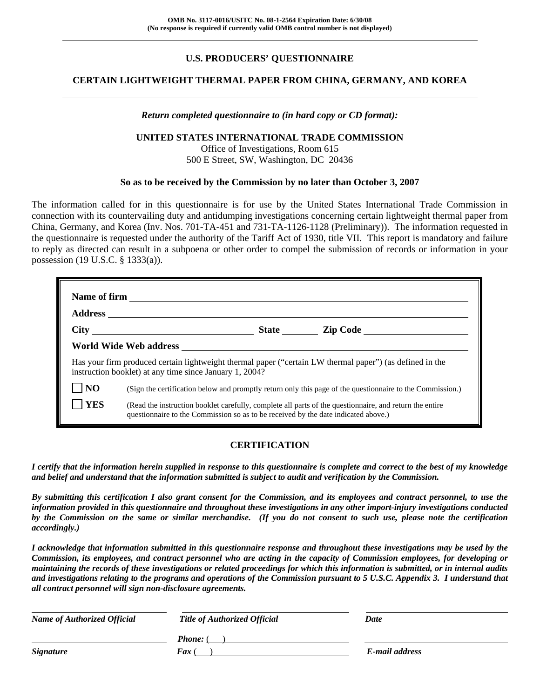# **U.S. PRODUCERS' QUESTIONNAIRE**

# **CERTAIN LIGHTWEIGHT THERMAL PAPER FROM CHINA, GERMANY, AND KOREA**

#### *Return completed questionnaire to (in hard copy or CD format):*

#### **UNITED STATES INTERNATIONAL TRADE COMMISSION**

Office of Investigations, Room 615 500 E Street, SW, Washington, DC 20436

#### **So as to be received by the Commission by no later than October 3, 2007**

The information called for in this questionnaire is for use by the United States International Trade Commission in connection with its countervailing duty and antidumping investigations concerning certain lightweight thermal paper from China, Germany, and Korea (Inv. Nos. 701-TA-451 and 731-TA-1126-1128 (Preliminary)). The information requested in the questionnaire is requested under the authority of the Tariff Act of 1930, title VII. This report is mandatory and failure to reply as directed can result in a subpoena or other order to compel the submission of records or information in your possession (19 U.S.C. § 1333(a)).

|            | State <u>Lip Code</u>                                                                                                                                                                                                                |
|------------|--------------------------------------------------------------------------------------------------------------------------------------------------------------------------------------------------------------------------------------|
|            | World Wide Web address <b>with the Contract of Second Contract Contract Contract Contract Contract Contract Contract Contract Contract Contract Contract Contract Contract Contract Contract Contract Contract Contract Contract</b> |
|            | Has your firm produced certain lightweight thermal paper ("certain LW thermal paper") (as defined in the<br>instruction booklet) at any time since January 1, 2004?                                                                  |
| <b>NO</b>  | (Sign the certification below and promptly return only this page of the questionnaire to the Commission.)                                                                                                                            |
| <b>YES</b> | (Read the instruction booklet carefully, complete all parts of the questionnaire, and return the entire<br>questionnaire to the Commission so as to be received by the date indicated above.)                                        |

#### **CERTIFICATION**

*I certify that the information herein supplied in response to this questionnaire is complete and correct to the best of my knowledge and belief and understand that the information submitted is subject to audit and verification by the Commission.* 

*By submitting this certification I also grant consent for the Commission, and its employees and contract personnel, to use the information provided in this questionnaire and throughout these investigations in any other import-injury investigations conducted by the Commission on the same or similar merchandise. (If you do not consent to such use, please note the certification accordingly.)* 

*I acknowledge that information submitted in this questionnaire response and throughout these investigations may be used by the Commission, its employees, and contract personnel who are acting in the capacity of Commission employees, for developing or maintaining the records of these investigations or related proceedings for which this information is submitted, or in internal audits and investigations relating to the programs and operations of the Commission pursuant to 5 U.S.C. Appendix 3. I understand that all contract personnel will sign non-disclosure agreements.* 

| <b>Name of Authorized Official</b> | <b>Title of Authorized Official</b> | Date           |
|------------------------------------|-------------------------------------|----------------|
|                                    | <b>Phone:</b> (                     |                |
| <b>Signature</b>                   | <b>Fax</b> (                        | E-mail address |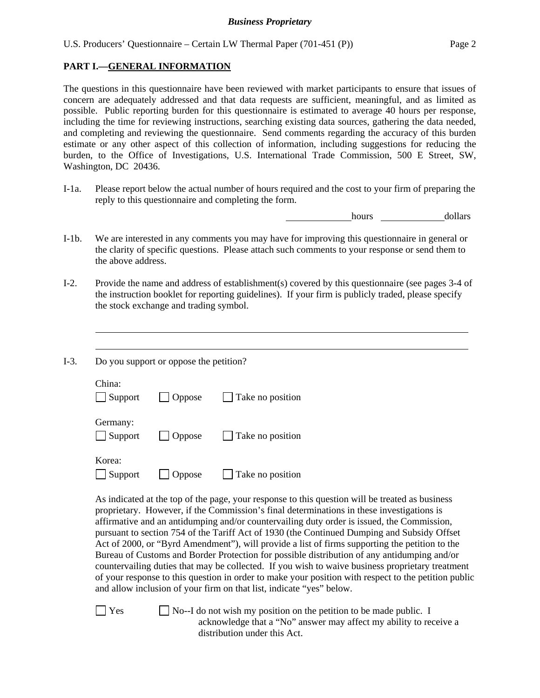# **PART I.—GENERAL INFORMATION**

The questions in this questionnaire have been reviewed with market participants to ensure that issues of concern are adequately addressed and that data requests are sufficient, meaningful, and as limited as possible. Public reporting burden for this questionnaire is estimated to average 40 hours per response, including the time for reviewing instructions, searching existing data sources, gathering the data needed, and completing and reviewing the questionnaire. Send comments regarding the accuracy of this burden estimate or any other aspect of this collection of information, including suggestions for reducing the burden, to the Office of Investigations, U.S. International Trade Commission, 500 E Street, SW, Washington, DC 20436.

I-1a. Please report below the actual number of hours required and the cost to your firm of preparing the reply to this questionnaire and completing the form.

hours dollars

- I-1b. We are interested in any comments you may have for improving this questionnaire in general or the clarity of specific questions. Please attach such comments to your response or send them to the above address.
- I-2. Provide the name and address of establishment(s) covered by this questionnaire (see pages 3-4 of the instruction booklet for reporting guidelines). If your firm is publicly traded, please specify the stock exchange and trading symbol.
- I-3. Do you support or oppose the petition?

 $\overline{a}$  $\overline{a}$ 

| China:<br>$\Box$ Support   | $\Box$ Oppose | $\Box$ Take no position |
|----------------------------|---------------|-------------------------|
| Germany:<br>$\Box$ Support | $\Box$ Oppose | $\Box$ Take no position |
| Korea:                     |               |                         |

 $\Box$  Support  $\Box$  Oppose  $\Box$  Take no position

As indicated at the top of the page, your response to this question will be treated as business proprietary. However, if the Commission's final determinations in these investigations is affirmative and an antidumping and/or countervailing duty order is issued, the Commission, pursuant to section 754 of the Tariff Act of 1930 (the Continued Dumping and Subsidy Offset Act of 2000, or "Byrd Amendment"), will provide a list of firms supporting the petition to the Bureau of Customs and Border Protection for possible distribution of any antidumping and/or countervailing duties that may be collected. If you wish to waive business proprietary treatment of your response to this question in order to make your position with respect to the petition public and allow inclusion of your firm on that list, indicate "yes" below.

 $\Box$  Yes  $\Box$  No--I do not wish my position on the petition to be made public. I acknowledge that a "No" answer may affect my ability to receive a distribution under this Act.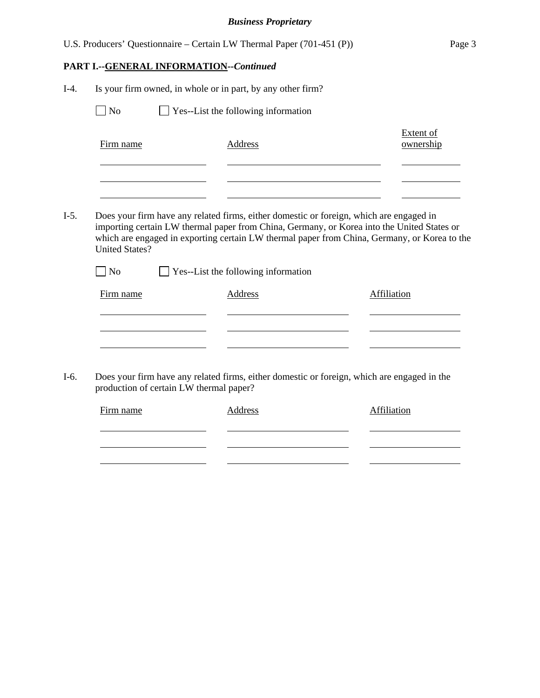|        |                       |                                                | U.S. Producers' Questionnaire – Certain LW Thermal Paper (701-451 (P))                                                                                                                                                                                                                | Page 3                        |
|--------|-----------------------|------------------------------------------------|---------------------------------------------------------------------------------------------------------------------------------------------------------------------------------------------------------------------------------------------------------------------------------------|-------------------------------|
|        |                       | <b>PART I.--GENERAL INFORMATION--Continued</b> |                                                                                                                                                                                                                                                                                       |                               |
| $I-4.$ |                       |                                                | Is your firm owned, in whole or in part, by any other firm?                                                                                                                                                                                                                           |                               |
|        | $\Box$ No             |                                                | Yes--List the following information                                                                                                                                                                                                                                                   |                               |
|        | Firm name             |                                                | Address                                                                                                                                                                                                                                                                               | <b>Extent of</b><br>ownership |
|        |                       |                                                |                                                                                                                                                                                                                                                                                       |                               |
|        |                       |                                                |                                                                                                                                                                                                                                                                                       |                               |
| $I-5.$ | <b>United States?</b> |                                                | Does your firm have any related firms, either domestic or foreign, which are engaged in<br>importing certain LW thermal paper from China, Germany, or Korea into the United States or<br>which are engaged in exporting certain LW thermal paper from China, Germany, or Korea to the |                               |
|        | N <sub>o</sub>        |                                                | Yes--List the following information                                                                                                                                                                                                                                                   |                               |
|        | Firm name             |                                                | <b>Address</b>                                                                                                                                                                                                                                                                        | Affiliation                   |
|        |                       |                                                |                                                                                                                                                                                                                                                                                       |                               |
|        |                       |                                                |                                                                                                                                                                                                                                                                                       |                               |
|        |                       |                                                |                                                                                                                                                                                                                                                                                       |                               |
| I-6.   |                       | production of certain LW thermal paper?        | Does your firm have any related firms, either domestic or foreign, which are engaged in the                                                                                                                                                                                           |                               |

| Firm name | Address | Affiliation |
|-----------|---------|-------------|
|           |         |             |
|           |         |             |
|           |         |             |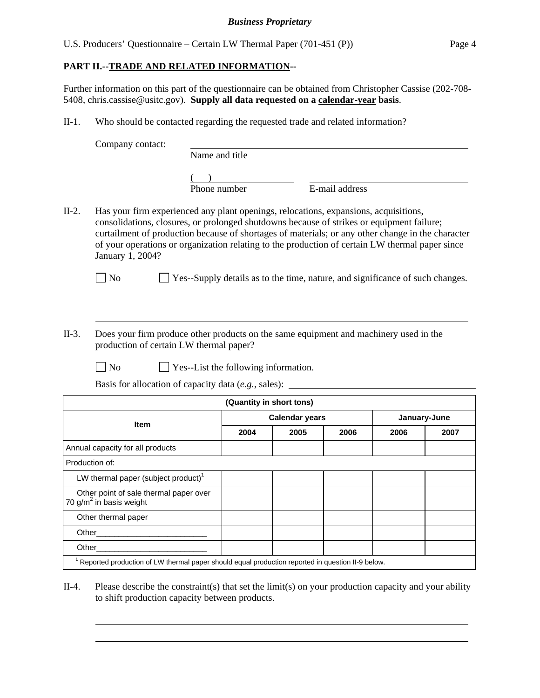U.S. Producers' Questionnaire – Certain LW Thermal Paper (701-451 (P)) Page 4

# **PART II.--TRADE AND RELATED INFORMATION--**

Further information on this part of the questionnaire can be obtained from Christopher Cassise (202-708- 5408, chris.cassise@usitc.gov). **Supply all data requested on a calendar-year basis**.

II-1. Who should be contacted regarding the requested trade and related information?

Company contact: Name and title  $($  $\overline{P}$ Phone number  $\overline{E}$ -mail address II-2. Has your firm experienced any plant openings, relocations, expansions, acquisitions, consolidations, closures, or prolonged shutdowns because of strikes or equipment failure; curtailment of production because of shortages of materials; or any other change in the character of your operations or organization relating to the production of certain LW thermal paper since January 1, 2004?  $\Box$  No  $\Box$  Yes--Supply details as to the time, nature, and significance of such changes.  $\overline{a}$  $\overline{a}$ II-3. Does your firm produce other products on the same equipment and machinery used in the production of certain LW thermal paper?  $\Box$  No  $\Box$  Yes--List the following information. Basis for allocation of capacity data (*e.g.*, sales): **(Quantity in short tons) Calendar years January-June Item 2004 2005 2006 2006 2007** Annual capacity for all products Production of: LW thermal paper (subject product) $1$  Other point of sale thermal paper over  $70 g/m<sup>2</sup>$  in basis weight Other thermal paper Other\_\_\_\_\_\_\_\_\_\_\_\_\_\_\_\_\_\_\_\_\_\_\_\_\_ Other\_\_\_\_\_\_\_\_\_\_\_\_\_\_\_\_\_\_\_\_\_\_\_\_\_ <sup>1</sup> Reported production of LW thermal paper should equal production reported in question II-9 below.

# II-4. Please describe the constraint(s) that set the limit(s) on your production capacity and your ability to shift production capacity between products.

l  $\overline{a}$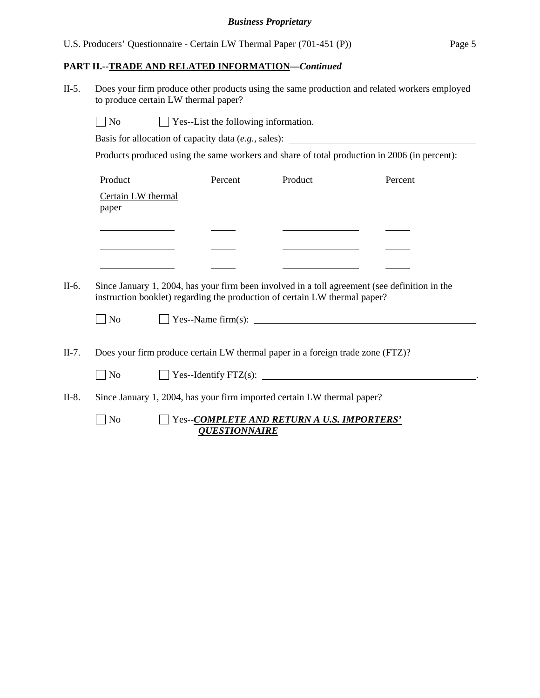# **PART II.--TRADE AND RELATED INFORMATION***—Continued*

II-5. Does your firm produce other products using the same production and related workers employed to produce certain LW thermal paper?

 $\Box$  No  $\Box$  Yes--List the following information.

Basis for allocation of capacity data (*e.g.*, sales):

Products produced using the same workers and share of total production in 2006 (in percent):

| Product            | Percent | Product | Percent |
|--------------------|---------|---------|---------|
| Certain LW thermal |         |         |         |
| paper              |         |         |         |
|                    |         |         |         |
|                    |         |         |         |
|                    |         |         |         |

II-6. Since January 1, 2004, has your firm been involved in a toll agreement (see definition in the instruction booklet) regarding the production of certain LW thermal paper?

| $\Box$ No | $\perp$ Yes--Name firm(s): |
|-----------|----------------------------|
|           |                            |

II-7. Does your firm produce certain LW thermal paper in a foreign trade zone (FTZ)?

|         | $\perp$ No | $\Box$ Yes--Identify FTZ(s):                                            |  |
|---------|------------|-------------------------------------------------------------------------|--|
| $II-8.$ |            | Since January 1, 2004, has your firm imported certain LW thermal paper? |  |

## No Yes--*COMPLETE AND RETURN A U.S. IMPORTERS' QUESTIONNAIRE*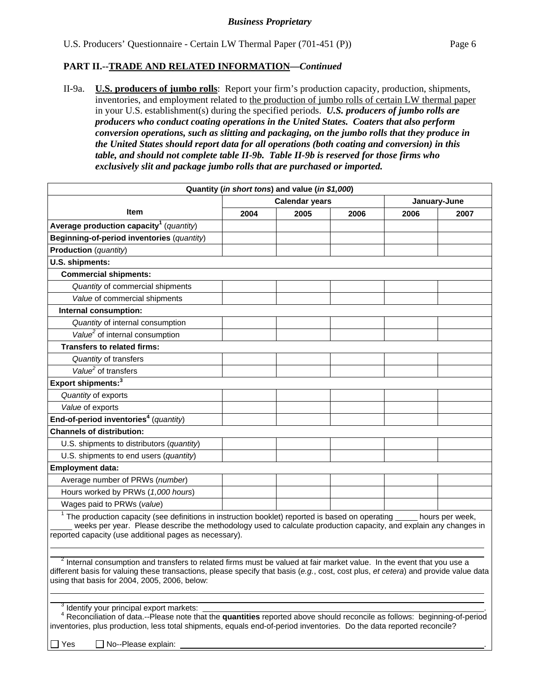## **PART II.--TRADE AND RELATED INFORMATION***—Continued*

II-9a. **U.S. producers of jumbo rolls**: Report your firm's production capacity, production, shipments, inventories, and employment related to the production of jumbo rolls of certain LW thermal paper in your U.S. establishment(s) during the specified periods. *U.S. producers of jumbo rolls are producers who conduct coating operations in the United States. Coaters that also perform conversion operations, such as slitting and packaging, on the jumbo rolls that they produce in the United States should report data for all operations (both coating and conversion) in this table, and should not complete table II-9b. Table II-9b is reserved for those firms who exclusively slit and package jumbo rolls that are purchased or imported.*

|                                                                                                                                                                                                                                                                                                                           |                       | Quantity (in short tons) and value (in \$1,000) |      |              |                 |
|---------------------------------------------------------------------------------------------------------------------------------------------------------------------------------------------------------------------------------------------------------------------------------------------------------------------------|-----------------------|-------------------------------------------------|------|--------------|-----------------|
|                                                                                                                                                                                                                                                                                                                           | <b>Calendar years</b> |                                                 |      | January-June |                 |
| <b>Item</b>                                                                                                                                                                                                                                                                                                               | 2004                  | 2005                                            | 2006 | 2006         | 2007            |
| Average production capacity <sup>1</sup> (quantity)                                                                                                                                                                                                                                                                       |                       |                                                 |      |              |                 |
| Beginning-of-period inventories (quantity)                                                                                                                                                                                                                                                                                |                       |                                                 |      |              |                 |
| Production (quantity)                                                                                                                                                                                                                                                                                                     |                       |                                                 |      |              |                 |
| U.S. shipments:                                                                                                                                                                                                                                                                                                           |                       |                                                 |      |              |                 |
| <b>Commercial shipments:</b>                                                                                                                                                                                                                                                                                              |                       |                                                 |      |              |                 |
| Quantity of commercial shipments                                                                                                                                                                                                                                                                                          |                       |                                                 |      |              |                 |
| Value of commercial shipments                                                                                                                                                                                                                                                                                             |                       |                                                 |      |              |                 |
| Internal consumption:                                                                                                                                                                                                                                                                                                     |                       |                                                 |      |              |                 |
| Quantity of internal consumption                                                                                                                                                                                                                                                                                          |                       |                                                 |      |              |                 |
| Value <sup>2</sup> of internal consumption                                                                                                                                                                                                                                                                                |                       |                                                 |      |              |                 |
| <b>Transfers to related firms:</b>                                                                                                                                                                                                                                                                                        |                       |                                                 |      |              |                 |
| Quantity of transfers                                                                                                                                                                                                                                                                                                     |                       |                                                 |      |              |                 |
| Value <sup>2</sup> of transfers                                                                                                                                                                                                                                                                                           |                       |                                                 |      |              |                 |
| Export shipments: <sup>3</sup>                                                                                                                                                                                                                                                                                            |                       |                                                 |      |              |                 |
| Quantity of exports                                                                                                                                                                                                                                                                                                       |                       |                                                 |      |              |                 |
| Value of exports                                                                                                                                                                                                                                                                                                          |                       |                                                 |      |              |                 |
| End-of-period inventories <sup>4</sup> (quantity)                                                                                                                                                                                                                                                                         |                       |                                                 |      |              |                 |
| <b>Channels of distribution:</b>                                                                                                                                                                                                                                                                                          |                       |                                                 |      |              |                 |
| U.S. shipments to distributors (quantity)                                                                                                                                                                                                                                                                                 |                       |                                                 |      |              |                 |
| U.S. shipments to end users (quantity)                                                                                                                                                                                                                                                                                    |                       |                                                 |      |              |                 |
| <b>Employment data:</b>                                                                                                                                                                                                                                                                                                   |                       |                                                 |      |              |                 |
| Average number of PRWs (number)                                                                                                                                                                                                                                                                                           |                       |                                                 |      |              |                 |
| Hours worked by PRWs (1,000 hours)                                                                                                                                                                                                                                                                                        |                       |                                                 |      |              |                 |
| Wages paid to PRWs (value)                                                                                                                                                                                                                                                                                                |                       |                                                 |      |              |                 |
| $1$ The production capacity (see definitions in instruction booklet) reported is based on operating $_2$<br>weeks per year. Please describe the methodology used to calculate production capacity, and explain any changes in<br>reported capacity (use additional pages as necessary).                                   |                       |                                                 |      |              | hours per week, |
| <sup>2</sup> Internal consumption and transfers to related firms must be valued at fair market value. In the event that you use a<br>different basis for valuing these transactions, please specify that basis (e.g., cost, cost plus, et cetera) and provide value data<br>using that basis for 2004, 2005, 2006, below: |                       |                                                 |      |              |                 |
| <sup>3</sup> Identify your principal export markets:<br><sup>4</sup> Reconciliation of data.--Please note that the quantities reported above should reconcile as follows: beginning-of-period<br>inventories, plus production, less total shipments, equals end-of-period inventories. Do the data reported reconcile?    |                       |                                                 |      |              |                 |

 $\Box$  Yes  $\Box$  No--Please explain: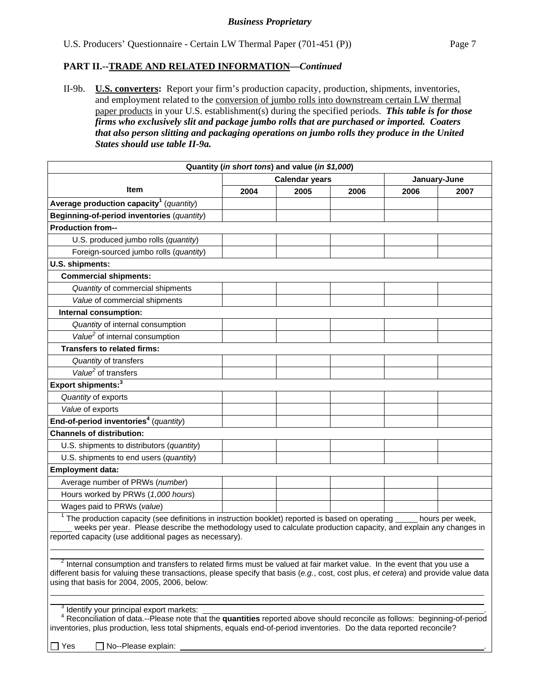## **PART II.--TRADE AND RELATED INFORMATION***—Continued*

II-9b. **U.S. converters:** Report your firm's production capacity, production, shipments, inventories, and employment related to the conversion of jumbo rolls into downstream certain LW thermal paper products in your U.S. establishment(s) during the specified periods. *This table is for those firms who exclusively slit and package jumbo rolls that are purchased or imported. Coaters that also person slitting and packaging operations on jumbo rolls they produce in the United States should use table II-9a.* 

| Quantity (in short tons) and value (in \$1,000)                                                                                                                                                                                                                                                                           |                       |      |      |      |                 |  |
|---------------------------------------------------------------------------------------------------------------------------------------------------------------------------------------------------------------------------------------------------------------------------------------------------------------------------|-----------------------|------|------|------|-----------------|--|
|                                                                                                                                                                                                                                                                                                                           | <b>Calendar years</b> |      |      |      | January-June    |  |
| Item                                                                                                                                                                                                                                                                                                                      | 2004                  | 2005 | 2006 | 2006 | 2007            |  |
| Average production capacity <sup>1</sup> (quantity)                                                                                                                                                                                                                                                                       |                       |      |      |      |                 |  |
| Beginning-of-period inventories (quantity)                                                                                                                                                                                                                                                                                |                       |      |      |      |                 |  |
| <b>Production from--</b>                                                                                                                                                                                                                                                                                                  |                       |      |      |      |                 |  |
| U.S. produced jumbo rolls (quantity)                                                                                                                                                                                                                                                                                      |                       |      |      |      |                 |  |
| Foreign-sourced jumbo rolls (quantity)                                                                                                                                                                                                                                                                                    |                       |      |      |      |                 |  |
| U.S. shipments:                                                                                                                                                                                                                                                                                                           |                       |      |      |      |                 |  |
| <b>Commercial shipments:</b>                                                                                                                                                                                                                                                                                              |                       |      |      |      |                 |  |
| Quantity of commercial shipments                                                                                                                                                                                                                                                                                          |                       |      |      |      |                 |  |
| Value of commercial shipments                                                                                                                                                                                                                                                                                             |                       |      |      |      |                 |  |
| Internal consumption:                                                                                                                                                                                                                                                                                                     |                       |      |      |      |                 |  |
| Quantity of internal consumption                                                                                                                                                                                                                                                                                          |                       |      |      |      |                 |  |
| Value <sup>2</sup> of internal consumption                                                                                                                                                                                                                                                                                |                       |      |      |      |                 |  |
| <b>Transfers to related firms:</b>                                                                                                                                                                                                                                                                                        |                       |      |      |      |                 |  |
| Quantity of transfers                                                                                                                                                                                                                                                                                                     |                       |      |      |      |                 |  |
| Value <sup>2</sup> of transfers                                                                                                                                                                                                                                                                                           |                       |      |      |      |                 |  |
| Export shipments: <sup>3</sup>                                                                                                                                                                                                                                                                                            |                       |      |      |      |                 |  |
| Quantity of exports                                                                                                                                                                                                                                                                                                       |                       |      |      |      |                 |  |
| Value of exports                                                                                                                                                                                                                                                                                                          |                       |      |      |      |                 |  |
| End-of-period inventories <sup>4</sup> (quantity)                                                                                                                                                                                                                                                                         |                       |      |      |      |                 |  |
| <b>Channels of distribution:</b>                                                                                                                                                                                                                                                                                          |                       |      |      |      |                 |  |
| U.S. shipments to distributors (quantity)                                                                                                                                                                                                                                                                                 |                       |      |      |      |                 |  |
| U.S. shipments to end users (quantity)                                                                                                                                                                                                                                                                                    |                       |      |      |      |                 |  |
| <b>Employment data:</b>                                                                                                                                                                                                                                                                                                   |                       |      |      |      |                 |  |
| Average number of PRWs (number)                                                                                                                                                                                                                                                                                           |                       |      |      |      |                 |  |
| Hours worked by PRWs (1,000 hours)                                                                                                                                                                                                                                                                                        |                       |      |      |      |                 |  |
| Wages paid to PRWs (value)                                                                                                                                                                                                                                                                                                |                       |      |      |      |                 |  |
| The production capacity (see definitions in instruction booklet) reported is based on operating<br>weeks per year. Please describe the methodology used to calculate production capacity, and explain any changes in<br>reported capacity (use additional pages as necessary).                                            |                       |      |      |      | hours per week, |  |
| <sup>2</sup> Internal consumption and transfers to related firms must be valued at fair market value. In the event that you use a<br>different basis for valuing these transactions, please specify that basis (e.g., cost, cost plus, et cetera) and provide value data<br>using that basis for 2004, 2005, 2006, below: |                       |      |      |      |                 |  |
| <sup>3</sup> Identify your principal export markets:<br><sup>4</sup> Reconciliation of data.--Please note that the quantities reported above should reconcile as follows: beginning-of-period<br>inventories, plus production, less total shipments, equals end-of-period inventories. Do the data reported reconcile?    |                       |      |      |      |                 |  |

 $\Box$  Yes  $\Box$  No--Please explain: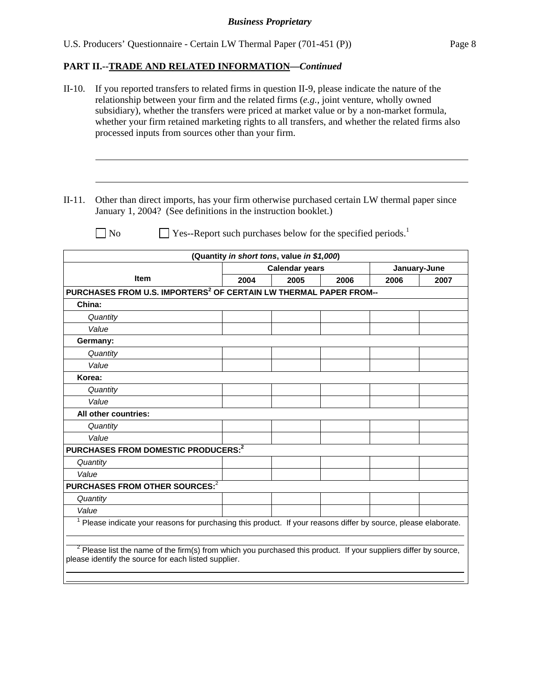# **PART II.--TRADE AND RELATED INFORMATION***—Continued*

| $II-10.$ | If you reported transfers to related firms in question II-9, please indicate the nature of the<br>relationship between your firm and the related firms $(e.g.,$ joint venture, wholly owned<br>subsidiary), whether the transfers were priced at market value or by a non-market formula,<br>whether your firm retained marketing rights to all transfers, and whether the related firms also<br>processed inputs from sources other than your firm. |      |                                                                          |      |      |              |
|----------|------------------------------------------------------------------------------------------------------------------------------------------------------------------------------------------------------------------------------------------------------------------------------------------------------------------------------------------------------------------------------------------------------------------------------------------------------|------|--------------------------------------------------------------------------|------|------|--------------|
| $II-11.$ | Other than direct imports, has your firm otherwise purchased certain LW thermal paper since<br>January 1, 2004? (See definitions in the instruction booklet.)                                                                                                                                                                                                                                                                                        |      |                                                                          |      |      |              |
|          | $\vert$ No                                                                                                                                                                                                                                                                                                                                                                                                                                           |      | Yes--Report such purchases below for the specified periods. <sup>1</sup> |      |      |              |
|          |                                                                                                                                                                                                                                                                                                                                                                                                                                                      |      | (Quantity in short tons, value in \$1,000)                               |      |      |              |
|          |                                                                                                                                                                                                                                                                                                                                                                                                                                                      |      | <b>Calendar years</b>                                                    |      |      | January-June |
|          | <b>Item</b>                                                                                                                                                                                                                                                                                                                                                                                                                                          | 2004 | 2005                                                                     | 2006 | 2006 | 2007         |
|          | PURCHASES FROM U.S. IMPORTERS <sup>2</sup> OF CERTAIN LW THERMAL PAPER FROM--                                                                                                                                                                                                                                                                                                                                                                        |      |                                                                          |      |      |              |
| China:   |                                                                                                                                                                                                                                                                                                                                                                                                                                                      |      |                                                                          |      |      |              |
|          | Quantity                                                                                                                                                                                                                                                                                                                                                                                                                                             |      |                                                                          |      |      |              |
|          | Value                                                                                                                                                                                                                                                                                                                                                                                                                                                |      |                                                                          |      |      |              |
|          | Germany:                                                                                                                                                                                                                                                                                                                                                                                                                                             |      |                                                                          |      |      |              |
|          | Quantity                                                                                                                                                                                                                                                                                                                                                                                                                                             |      |                                                                          |      |      |              |
|          | Value                                                                                                                                                                                                                                                                                                                                                                                                                                                |      |                                                                          |      |      |              |
| Korea:   |                                                                                                                                                                                                                                                                                                                                                                                                                                                      |      |                                                                          |      |      |              |
|          | Quantity                                                                                                                                                                                                                                                                                                                                                                                                                                             |      |                                                                          |      |      |              |
|          | Value                                                                                                                                                                                                                                                                                                                                                                                                                                                |      |                                                                          |      |      |              |
|          | All other countries:                                                                                                                                                                                                                                                                                                                                                                                                                                 |      |                                                                          |      |      |              |
|          | Quantity                                                                                                                                                                                                                                                                                                                                                                                                                                             |      |                                                                          |      |      |              |
|          | Value                                                                                                                                                                                                                                                                                                                                                                                                                                                |      |                                                                          |      |      |              |
|          | PURCHASES FROM DOMESTIC PRODUCERS: <sup>2</sup>                                                                                                                                                                                                                                                                                                                                                                                                      |      |                                                                          |      |      |              |
|          | Quantity                                                                                                                                                                                                                                                                                                                                                                                                                                             |      |                                                                          |      |      |              |
| Value    |                                                                                                                                                                                                                                                                                                                                                                                                                                                      |      |                                                                          |      |      |              |
|          | PURCHASES FROM OTHER SOURCES: <sup>2</sup>                                                                                                                                                                                                                                                                                                                                                                                                           |      |                                                                          |      |      |              |
|          | Quantity                                                                                                                                                                                                                                                                                                                                                                                                                                             |      |                                                                          |      |      |              |
| Value    |                                                                                                                                                                                                                                                                                                                                                                                                                                                      |      |                                                                          |      |      |              |
|          | <sup>1</sup> Please indicate your reasons for purchasing this product. If your reasons differ by source, please elaborate.                                                                                                                                                                                                                                                                                                                           |      |                                                                          |      |      |              |
|          | $2$ Please list the name of the firm(s) from which you purchased this product. If your suppliers differ by source,<br>please identify the source for each listed supplier.                                                                                                                                                                                                                                                                           |      |                                                                          |      |      |              |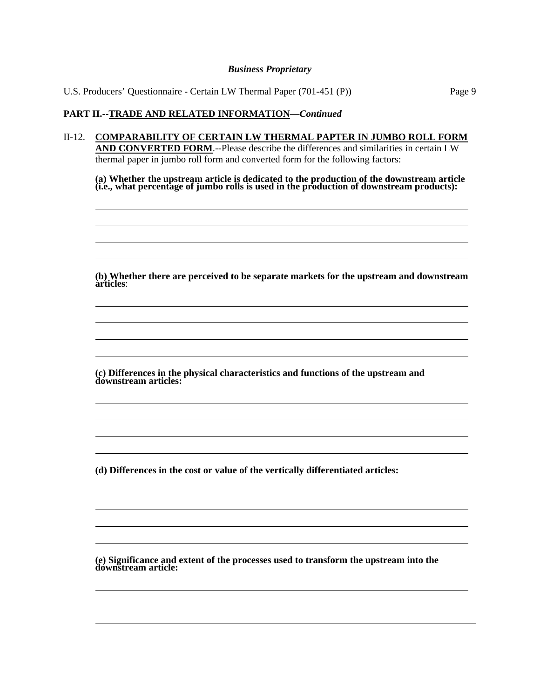U.S. Producers' Questionnaire - Certain LW Thermal Paper (701-451 (P)) Page 9

## **PART II.--TRADE AND RELATED INFORMATION***—Continued*

l  $\overline{a}$  $\overline{a}$  $\overline{a}$ 

 $\overline{a}$  $\overline{a}$  $\overline{a}$  $\overline{a}$ 

 $\overline{a}$  $\overline{a}$  $\overline{a}$  $\overline{a}$ 

 $\overline{a}$  $\overline{a}$  $\overline{a}$  $\overline{a}$ 

l  $\overline{a}$  $\overline{a}$ 

II-12. **COMPARABILITY OF CERTAIN LW THERMAL PAPTER IN JUMBO ROLL FORM AND CONVERTED FORM**.--Please describe the differences and similarities in certain LW thermal paper in jumbo roll form and converted form for the following factors:

**(a) Whether the upstream article is dedicated to the production of the downstream article (i.e., what percentage of jumbo rolls is used in the production of downstream products):** 

**(b) Whether there are perceived to be separate markets for the upstream and downstream articles**:

**(c) Differences in the physical characteristics and functions of the upstream and downstream articles:** 

**(d) Differences in the cost or value of the vertically differentiated articles:** 

**(e) Significance and extent of the processes used to transform the upstream into the downstream article:**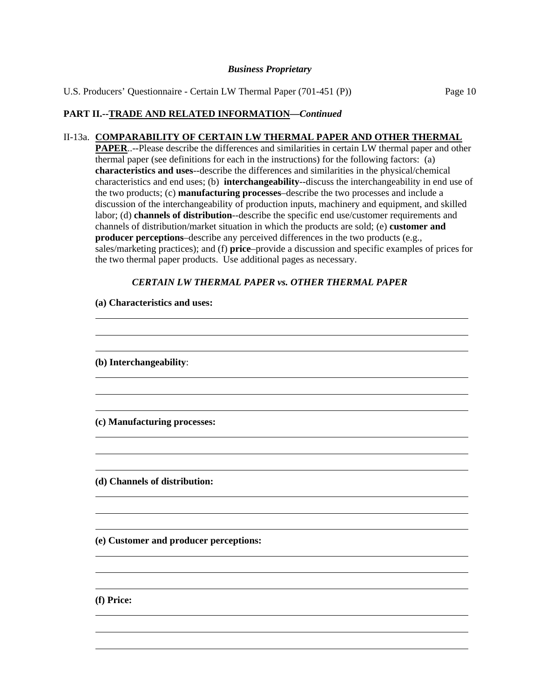U.S. Producers' Questionnaire - Certain LW Thermal Paper (701-451 (P)) Page 10

# **PART II.--TRADE AND RELATED INFORMATION***—Continued*

 $\overline{a}$  $\overline{a}$ 

#### II-13a. **COMPARABILITY OF CERTAIN LW THERMAL PAPER AND OTHER THERMAL**

**PAPER**..--Please describe the differences and similarities in certain LW thermal paper and other thermal paper (see definitions for each in the instructions) for the following factors: (a) **characteristics and uses**--describe the differences and similarities in the physical/chemical characteristics and end uses; (b) **interchangeability**--discuss the interchangeability in end use of the two products; (c) **manufacturing processes**–describe the two processes and include a discussion of the interchangeability of production inputs, machinery and equipment, and skilled labor; (d) **channels of distribution**--describe the specific end use/customer requirements and channels of distribution/market situation in which the products are sold; (e) **customer and producer perceptions**–describe any perceived differences in the two products (e.g., sales/marketing practices); and (f) **price**–provide a discussion and specific examples of prices for the two thermal paper products. Use additional pages as necessary.

#### *CERTAIN LW THERMAL PAPER vs. OTHER THERMAL PAPER*

| (a) Characteristics and uses:          |
|----------------------------------------|
|                                        |
|                                        |
| (b) Interchangeability:                |
|                                        |
|                                        |
| (c) Manufacturing processes:           |
|                                        |
|                                        |
| (d) Channels of distribution:          |
|                                        |
|                                        |
| (e) Customer and producer perceptions: |
|                                        |
|                                        |
| (f) Price:                             |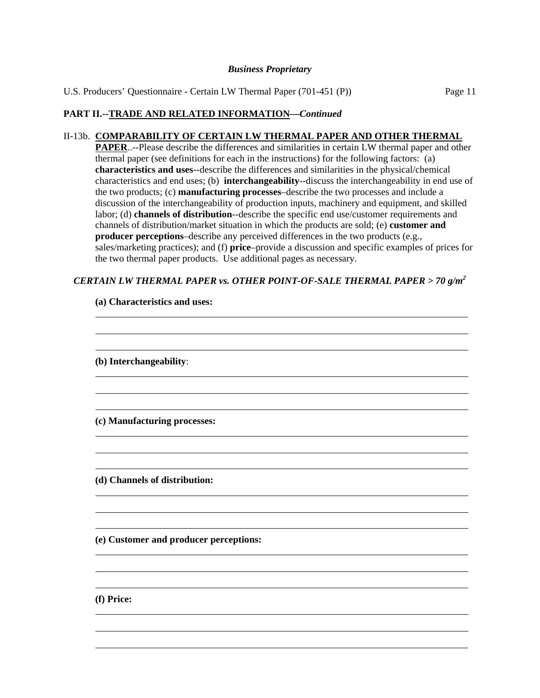U.S. Producers' Questionnaire - Certain LW Thermal Paper (701-451 (P)) Page 11

# **PART II.--TRADE AND RELATED INFORMATION***—Continued*

#### II-13b. **COMPARABILITY OF CERTAIN LW THERMAL PAPER AND OTHER THERMAL**

**PAPER**..--Please describe the differences and similarities in certain LW thermal paper and other thermal paper (see definitions for each in the instructions) for the following factors: (a) **characteristics and uses**--describe the differences and similarities in the physical/chemical characteristics and end uses; (b) **interchangeability**--discuss the interchangeability in end use of the two products; (c) **manufacturing processes**–describe the two processes and include a discussion of the interchangeability of production inputs, machinery and equipment, and skilled labor; (d) **channels of distribution**--describe the specific end use/customer requirements and channels of distribution/market situation in which the products are sold; (e) **customer and producer perceptions**–describe any perceived differences in the two products (e.g., sales/marketing practices); and (f) **price**–provide a discussion and specific examples of prices for the two thermal paper products. Use additional pages as necessary.

## *CERTAIN LW THERMAL PAPER vs. OTHER POINT-OF-SALE THERMAL PAPER > 70 g/m2*

| (a) Characteristics and uses:          |  |
|----------------------------------------|--|
|                                        |  |
|                                        |  |
| (b) Interchangeability:                |  |
|                                        |  |
|                                        |  |
| (c) Manufacturing processes:           |  |
|                                        |  |
|                                        |  |
| (d) Channels of distribution:          |  |
|                                        |  |
|                                        |  |
| (e) Customer and producer perceptions: |  |
|                                        |  |
|                                        |  |
|                                        |  |

# **(a) Characteristics and uses:**

**(f) Price:** 

 $\overline{a}$  $\overline{a}$  $\overline{a}$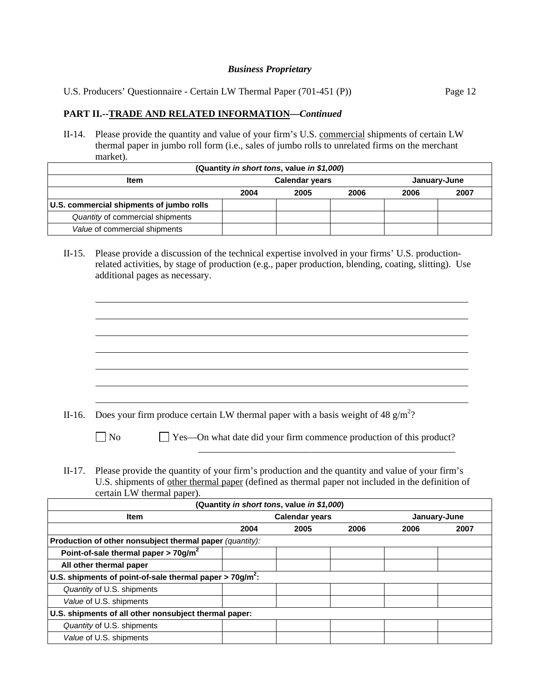U.S. Producers' Questionnaire - Certain LW Thermal Paper (701-451 (P)) Page 12

#### **PART II.--TRADE AND RELATED INFORMATION***—Continued*

l  $\overline{a}$  $\overline{a}$  $\overline{a}$  $\overline{a}$  $\overline{a}$  $\overline{a}$ 

II-14. Please provide the quantity and value of your firm's U.S. commercial shipments of certain LW thermal paper in jumbo roll form (i.e., sales of jumbo rolls to unrelated firms on the merchant market).

| (Quantity in short tons, value in \$1,000) |                       |  |  |      |              |  |  |
|--------------------------------------------|-----------------------|--|--|------|--------------|--|--|
| <b>Item</b>                                | <b>Calendar years</b> |  |  |      | January-June |  |  |
|                                            | 2004<br>2005<br>2006  |  |  | 2006 | 2007         |  |  |
| U.S. commercial shipments of jumbo rolls   |                       |  |  |      |              |  |  |
| Quantity of commercial shipments           |                       |  |  |      |              |  |  |
| Value of commercial shipments              |                       |  |  |      |              |  |  |

II-15. Please provide a discussion of the technical expertise involved in your firms' U.S. productionrelated activities, by stage of production (e.g., paper production, blending, coating, slitting). Use additional pages as necessary.

II-16. Does your firm produce certain LW thermal paper with a basis weight of 48  $g/m^2$ ?

No  $\Box$  Yes—On what date did your firm commence production of this product? \_\_\_\_\_\_\_\_\_\_\_\_\_\_\_\_\_\_\_\_\_\_\_\_\_\_\_\_\_\_\_\_\_\_\_\_\_\_\_\_\_\_\_\_\_\_\_\_\_\_\_\_\_

II-17. Please provide the quantity of your firm's production and the quantity and value of your firm's U.S. shipments of other thermal paper (defined as thermal paper not included in the definition of certain LW thermal paper).

| (Quantity in short tons, value in \$1,000)                             |      |                       |      |              |      |  |
|------------------------------------------------------------------------|------|-----------------------|------|--------------|------|--|
| <b>Item</b>                                                            |      | <b>Calendar years</b> |      | January-June |      |  |
|                                                                        | 2004 | 2005                  | 2006 | 2006         | 2007 |  |
| Production of other nonsubject thermal paper (quantity):               |      |                       |      |              |      |  |
| Point-of-sale thermal paper > $70$ g/m <sup>2</sup>                    |      |                       |      |              |      |  |
| All other thermal paper                                                |      |                       |      |              |      |  |
| U.S. shipments of point-of-sale thermal paper $>$ 70g/m <sup>2</sup> : |      |                       |      |              |      |  |
| Quantity of U.S. shipments                                             |      |                       |      |              |      |  |
| Value of U.S. shipments                                                |      |                       |      |              |      |  |
| U.S. shipments of all other nonsubject thermal paper:                  |      |                       |      |              |      |  |
| Quantity of U.S. shipments                                             |      |                       |      |              |      |  |
| Value of U.S. shipments                                                |      |                       |      |              |      |  |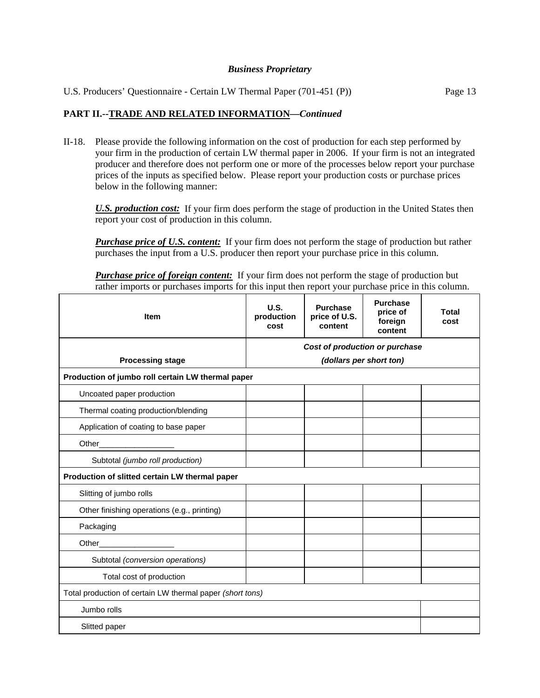| U.S. Producers' Questionnaire - Certain LW Thermal Paper (701-451 (P)) | Page 13 |
|------------------------------------------------------------------------|---------|
|                                                                        |         |

# **PART II.--TRADE AND RELATED INFORMATION***—Continued*

II-18. Please provide the following information on the cost of production for each step performed by your firm in the production of certain LW thermal paper in 2006. If your firm is not an integrated producer and therefore does not perform one or more of the processes below report your purchase prices of the inputs as specified below. Please report your production costs or purchase prices below in the following manner:

*U.S. production cost:* If your firm does perform the stage of production in the United States then report your cost of production in this column.

**Purchase price of U.S. content:** If your firm does not perform the stage of production but rather purchases the input from a U.S. producer then report your purchase price in this column.

**Purchase price of foreign content:** If your firm does not perform the stage of production but rather imports or purchases imports for this input then report your purchase price in this column.

| <b>Item</b>                                               | U.S.<br>production<br>cost     | <b>Purchase</b><br>price of U.S.<br>content | <b>Purchase</b><br>price of<br>foreign<br>content | Total<br>cost |  |
|-----------------------------------------------------------|--------------------------------|---------------------------------------------|---------------------------------------------------|---------------|--|
|                                                           | Cost of production or purchase |                                             |                                                   |               |  |
| <b>Processing stage</b>                                   |                                | (dollars per short ton)                     |                                                   |               |  |
| Production of jumbo roll certain LW thermal paper         |                                |                                             |                                                   |               |  |
| Uncoated paper production                                 |                                |                                             |                                                   |               |  |
| Thermal coating production/blending                       |                                |                                             |                                                   |               |  |
| Application of coating to base paper                      |                                |                                             |                                                   |               |  |
| Other_                                                    |                                |                                             |                                                   |               |  |
| Subtotal (jumbo roll production)                          |                                |                                             |                                                   |               |  |
| Production of slitted certain LW thermal paper            |                                |                                             |                                                   |               |  |
| Slitting of jumbo rolls                                   |                                |                                             |                                                   |               |  |
| Other finishing operations (e.g., printing)               |                                |                                             |                                                   |               |  |
| Packaging                                                 |                                |                                             |                                                   |               |  |
| Other_                                                    |                                |                                             |                                                   |               |  |
| Subtotal (conversion operations)                          |                                |                                             |                                                   |               |  |
| Total cost of production                                  |                                |                                             |                                                   |               |  |
| Total production of certain LW thermal paper (short tons) |                                |                                             |                                                   |               |  |
| Jumbo rolls                                               |                                |                                             |                                                   |               |  |
| Slitted paper                                             |                                |                                             |                                                   |               |  |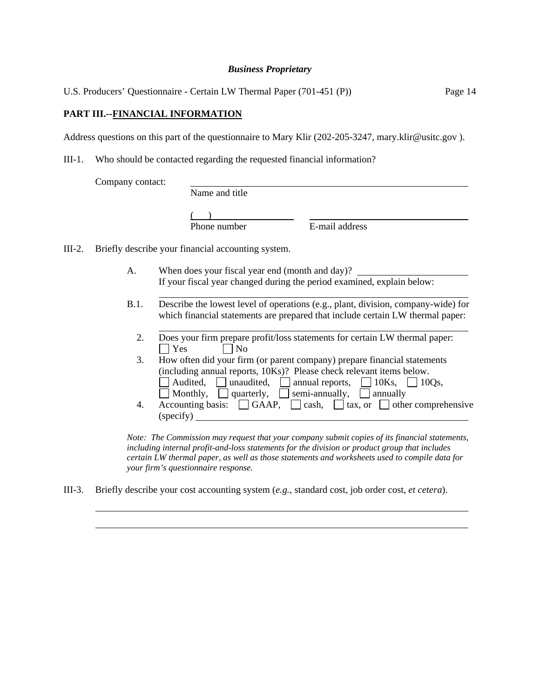U.S. Producers' Questionnaire - Certain LW Thermal Paper (701-451 (P)) Page 14

# **PART III.--FINANCIAL INFORMATION**

l  $\overline{a}$ 

Address questions on this part of the questionnaire to Mary Klir (202-205-3247, mary.klir@usitc.gov ).

III-1. Who should be contacted regarding the requested financial information?

|        | Company contact: |                                                                                                                                                                                                                                                                                                     |
|--------|------------------|-----------------------------------------------------------------------------------------------------------------------------------------------------------------------------------------------------------------------------------------------------------------------------------------------------|
|        |                  | Name and title                                                                                                                                                                                                                                                                                      |
|        |                  | E-mail address<br>Phone number                                                                                                                                                                                                                                                                      |
| III-2. |                  | Briefly describe your financial accounting system.                                                                                                                                                                                                                                                  |
|        | А.               | When does your fiscal year end (month and day)?<br>If your fiscal year changed during the period examined, explain below:                                                                                                                                                                           |
|        | B.1.             | Describe the lowest level of operations (e.g., plant, division, company-wide) for<br>which financial statements are prepared that include certain LW thermal paper:                                                                                                                                 |
|        | 2.               | Does your firm prepare profit/loss statements for certain LW thermal paper:<br>$\bigcap$ Yes<br>$\vert$   No                                                                                                                                                                                        |
|        | 3.               | How often did your firm (or parent company) prepare financial statements<br>(including annual reports, 10Ks)? Please check relevant items below.<br>Audited, $\Box$ unaudited, $\Box$ annual reports, $\Box$ 10Ks, $\Box$ 10Qs,<br>Monthly, $\Box$ quarterly, $\Box$ semi-annually, $\Box$ annually |
|        | 4.               | Accounting basis: $\Box$ GAAP, $\Box$ cash, $\Box$ tax, or $\Box$ other comprehensive<br>(specify)                                                                                                                                                                                                  |

*Note: The Commission may request that your company submit copies of its financial statements, including internal profit-and-loss statements for the division or product group that includes certain LW thermal paper, as well as those statements and worksheets used to compile data for your firm's questionnaire response.* 

III-3. Briefly describe your cost accounting system (*e.g.*, standard cost, job order cost, *et cetera*).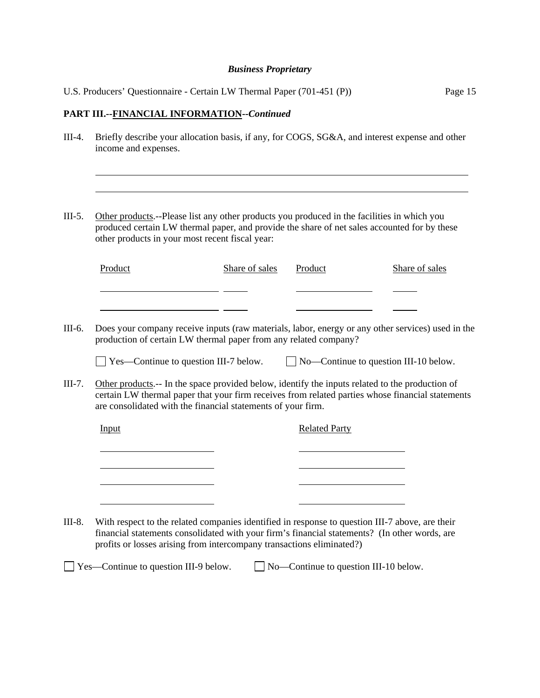|                    | U.S. Producers' Questionnaire - Certain LW Thermal Paper (701-451 (P))<br>Page 15                                                                                                                                                                                                                                                                                                                                                                                                             |                |                                              |                |
|--------------------|-----------------------------------------------------------------------------------------------------------------------------------------------------------------------------------------------------------------------------------------------------------------------------------------------------------------------------------------------------------------------------------------------------------------------------------------------------------------------------------------------|----------------|----------------------------------------------|----------------|
|                    | PART III.--FINANCIAL INFORMATION--Continued                                                                                                                                                                                                                                                                                                                                                                                                                                                   |                |                                              |                |
| $III-4.$           | Briefly describe your allocation basis, if any, for COGS, SG&A, and interest expense and other<br>income and expenses.                                                                                                                                                                                                                                                                                                                                                                        |                |                                              |                |
| $III-5.$           | Other products.--Please list any other products you produced in the facilities in which you<br>produced certain LW thermal paper, and provide the share of net sales accounted for by these<br>other products in your most recent fiscal year:                                                                                                                                                                                                                                                |                |                                              |                |
|                    | Product                                                                                                                                                                                                                                                                                                                                                                                                                                                                                       | Share of sales | Product                                      | Share of sales |
| III-6.<br>$III-7.$ | Does your company receive inputs (raw materials, labor, energy or any other services) used in the<br>production of certain LW thermal paper from any related company?<br>$\perp$ Yes—Continue to question III-7 below.<br>Other products.-- In the space provided below, identify the inputs related to the production of<br>certain LW thermal paper that your firm receives from related parties whose financial statements<br>are consolidated with the financial statements of your firm. |                | $\Box$ No—Continue to question III-10 below. |                |
|                    | Input                                                                                                                                                                                                                                                                                                                                                                                                                                                                                         |                | <b>Related Party</b>                         |                |
| III-8.             | With respect to the related companies identified in response to question III-7 above, are their<br>financial statements consolidated with your firm's financial statements? (In other words, are<br>profits or losses arising from intercompany transactions eliminated?)<br>Yes—Continue to question III-9 below.                                                                                                                                                                            |                | No-Continue to question III-10 below.        |                |
|                    |                                                                                                                                                                                                                                                                                                                                                                                                                                                                                               |                |                                              |                |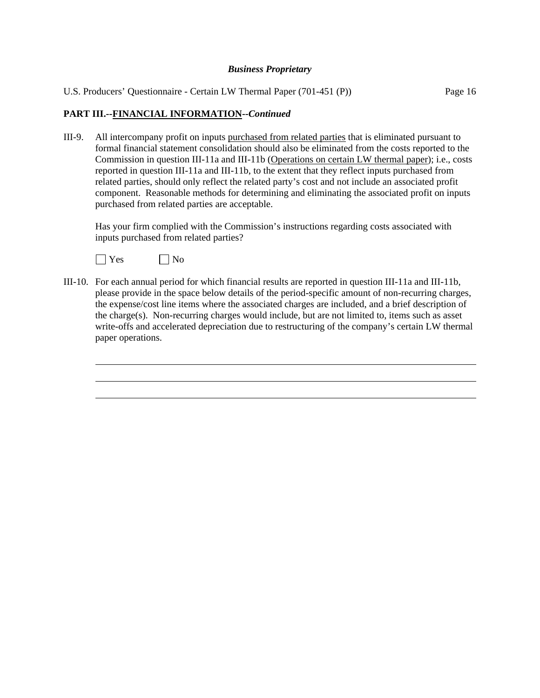U.S. Producers' Questionnaire - Certain LW Thermal Paper (701-451 (P)) Page 16

# **PART III.--FINANCIAL INFORMATION--***Continued*

III-9. All intercompany profit on inputs purchased from related parties that is eliminated pursuant to formal financial statement consolidation should also be eliminated from the costs reported to the Commission in question III-11a and III-11b (Operations on certain LW thermal paper); i.e., costs reported in question III-11a and III-11b, to the extent that they reflect inputs purchased from related parties, should only reflect the related party's cost and not include an associated profit component. Reasonable methods for determining and eliminating the associated profit on inputs purchased from related parties are acceptable.

Has your firm complied with the Commission's instructions regarding costs associated with inputs purchased from related parties?



 $\overline{a}$ 

III-10. For each annual period for which financial results are reported in question III-11a and III-11b, please provide in the space below details of the period-specific amount of non-recurring charges, the expense/cost line items where the associated charges are included, and a brief description of the charge(s). Non-recurring charges would include, but are not limited to, items such as asset write-offs and accelerated depreciation due to restructuring of the company's certain LW thermal paper operations.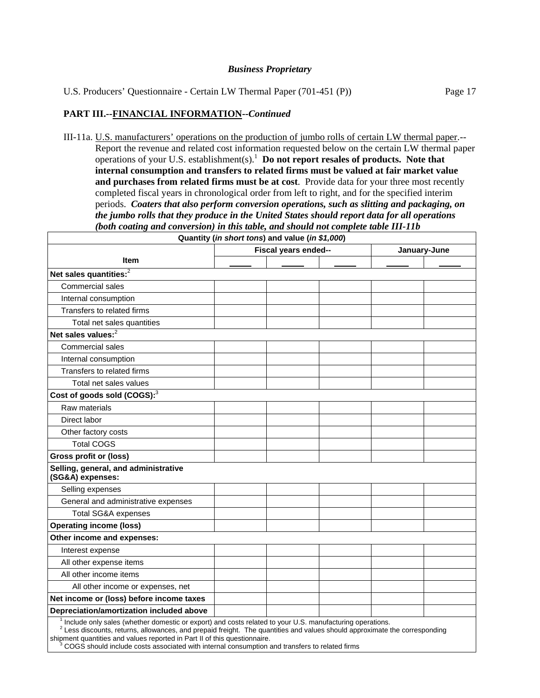U.S. Producers' Questionnaire - Certain LW Thermal Paper (701-451 (P)) Page 17

#### **PART III.--FINANCIAL INFORMATION--***Continued*

III-11a. U.S. manufacturers' operations on the production of jumbo rolls of certain LW thermal paper.-- Report the revenue and related cost information requested below on the certain LW thermal paper operations of your U.S. establishment(s).<sup>1</sup> **Do not report resales of products. Note that internal consumption and transfers to related firms must be valued at fair market value and purchases from related firms must be at cost**. Provide data for your three most recently completed fiscal years in chronological order from left to right, and for the specified interim periods. *Coaters that also perform conversion operations, such as slitting and packaging, on the jumbo rolls that they produce in the United States should report data for all operations (both coating and conversion) in this table, and should not complete table III-11b*

| Quantity (in short tons) and value (in \$1,000)                                                                       |  |                      |  |              |  |  |
|-----------------------------------------------------------------------------------------------------------------------|--|----------------------|--|--------------|--|--|
|                                                                                                                       |  | Fiscal years ended-- |  | January-June |  |  |
| <b>Item</b>                                                                                                           |  |                      |  |              |  |  |
| Net sales quantities: <sup>2</sup>                                                                                    |  |                      |  |              |  |  |
| Commercial sales                                                                                                      |  |                      |  |              |  |  |
| Internal consumption                                                                                                  |  |                      |  |              |  |  |
| Transfers to related firms                                                                                            |  |                      |  |              |  |  |
| Total net sales quantities                                                                                            |  |                      |  |              |  |  |
| Net sales values: <sup>2</sup>                                                                                        |  |                      |  |              |  |  |
| Commercial sales                                                                                                      |  |                      |  |              |  |  |
| Internal consumption                                                                                                  |  |                      |  |              |  |  |
| Transfers to related firms                                                                                            |  |                      |  |              |  |  |
| Total net sales values                                                                                                |  |                      |  |              |  |  |
| Cost of goods sold (COGS): <sup>3</sup>                                                                               |  |                      |  |              |  |  |
| Raw materials                                                                                                         |  |                      |  |              |  |  |
| Direct labor                                                                                                          |  |                      |  |              |  |  |
| Other factory costs                                                                                                   |  |                      |  |              |  |  |
| <b>Total COGS</b>                                                                                                     |  |                      |  |              |  |  |
| <b>Gross profit or (loss)</b>                                                                                         |  |                      |  |              |  |  |
| Selling, general, and administrative<br>(SG&A) expenses:                                                              |  |                      |  |              |  |  |
| Selling expenses                                                                                                      |  |                      |  |              |  |  |
| General and administrative expenses                                                                                   |  |                      |  |              |  |  |
| Total SG&A expenses                                                                                                   |  |                      |  |              |  |  |
| <b>Operating income (loss)</b>                                                                                        |  |                      |  |              |  |  |
| Other income and expenses:                                                                                            |  |                      |  |              |  |  |
| Interest expense                                                                                                      |  |                      |  |              |  |  |
| All other expense items                                                                                               |  |                      |  |              |  |  |
| All other income items                                                                                                |  |                      |  |              |  |  |
| All other income or expenses, net                                                                                     |  |                      |  |              |  |  |
| Net income or (loss) before income taxes                                                                              |  |                      |  |              |  |  |
| Depreciation/amortization included above                                                                              |  |                      |  |              |  |  |
| <sup>1</sup> Include only sales (whether domestic or export) and costs related to your U.S. manufacturing operations. |  |                      |  |              |  |  |

 $^{-1}$  Include only sales (whether domestic or export) and costs related to your U.S. manufacturing operations.<br><sup>2</sup> Less discounts, returns, allowances, and prepaid freight. The quantities and values should approximate the shipment quantities and values reported in Part II of this questionnaire.

 <sup>3</sup> COGS should include costs associated with internal consumption and transfers to related firms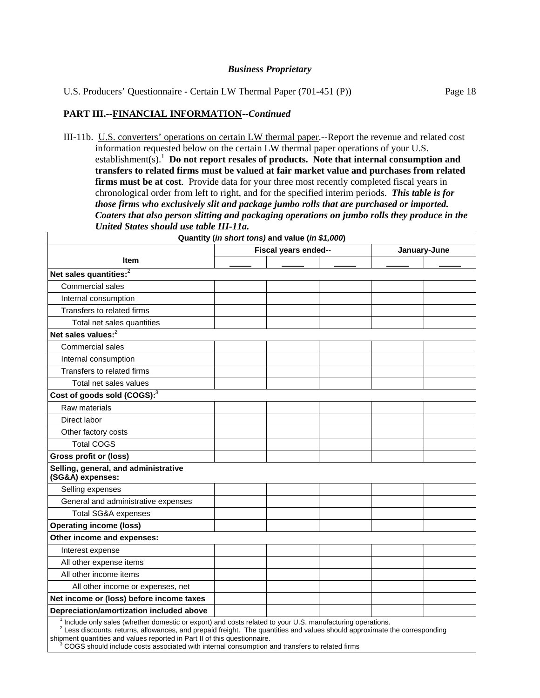U.S. Producers' Questionnaire - Certain LW Thermal Paper (701-451 (P)) Page 18

# **PART III.--FINANCIAL INFORMATION--***Continued*

III-11b. U.S. converters' operations on certain LW thermal paper.--Report the revenue and related cost information requested below on the certain LW thermal paper operations of your U.S. establishment(s).<sup>1</sup> Do not report resales of products. Note that internal consumption and **transfers to related firms must be valued at fair market value and purchases from related firms must be at cost**. Provide data for your three most recently completed fiscal years in chronological order from left to right, and for the specified interim periods. *This table is for those firms who exclusively slit and package jumbo rolls that are purchased or imported. Coaters that also person slitting and packaging operations on jumbo rolls they produce in the United States should use table III-11a.* 

| Quantity (in short tons) and value (in \$1,000)                                                                       |  |                      |  |              |  |
|-----------------------------------------------------------------------------------------------------------------------|--|----------------------|--|--------------|--|
|                                                                                                                       |  | Fiscal years ended-- |  | January-June |  |
| <b>Item</b>                                                                                                           |  |                      |  |              |  |
| Net sales quantities: <sup>2</sup>                                                                                    |  |                      |  |              |  |
| Commercial sales                                                                                                      |  |                      |  |              |  |
| Internal consumption                                                                                                  |  |                      |  |              |  |
| Transfers to related firms                                                                                            |  |                      |  |              |  |
| Total net sales quantities                                                                                            |  |                      |  |              |  |
| Net sales values: $2$                                                                                                 |  |                      |  |              |  |
| Commercial sales                                                                                                      |  |                      |  |              |  |
| Internal consumption                                                                                                  |  |                      |  |              |  |
| Transfers to related firms                                                                                            |  |                      |  |              |  |
| Total net sales values                                                                                                |  |                      |  |              |  |
| Cost of goods sold (COGS): <sup>3</sup>                                                                               |  |                      |  |              |  |
| Raw materials                                                                                                         |  |                      |  |              |  |
| Direct labor                                                                                                          |  |                      |  |              |  |
| Other factory costs                                                                                                   |  |                      |  |              |  |
| <b>Total COGS</b>                                                                                                     |  |                      |  |              |  |
| <b>Gross profit or (loss)</b>                                                                                         |  |                      |  |              |  |
| Selling, general, and administrative<br>(SG&A) expenses:                                                              |  |                      |  |              |  |
| Selling expenses                                                                                                      |  |                      |  |              |  |
| General and administrative expenses                                                                                   |  |                      |  |              |  |
| <b>Total SG&amp;A expenses</b>                                                                                        |  |                      |  |              |  |
| <b>Operating income (loss)</b>                                                                                        |  |                      |  |              |  |
| Other income and expenses:                                                                                            |  |                      |  |              |  |
| Interest expense                                                                                                      |  |                      |  |              |  |
| All other expense items                                                                                               |  |                      |  |              |  |
| All other income items                                                                                                |  |                      |  |              |  |
| All other income or expenses, net                                                                                     |  |                      |  |              |  |
| Net income or (loss) before income taxes                                                                              |  |                      |  |              |  |
| Depreciation/amortization included above                                                                              |  |                      |  |              |  |
| <sup>1</sup> Include only sales (whether domestic or export) and costs related to your U.S. manufacturing operations. |  |                      |  |              |  |

 $^{-1}$  Include only sales (whether domestic or export) and costs related to your U.S. manufacturing operations.<br><sup>2</sup> Less discounts, returns, allowances, and prepaid freight. The quantities and values should approximate the

shipment quantities and values reported in Part II of this questionnaire.<br>
<sup>3</sup> COGS should include costs associated with internal consumption a COGS should include costs associated with internal consumption and transfers to related firms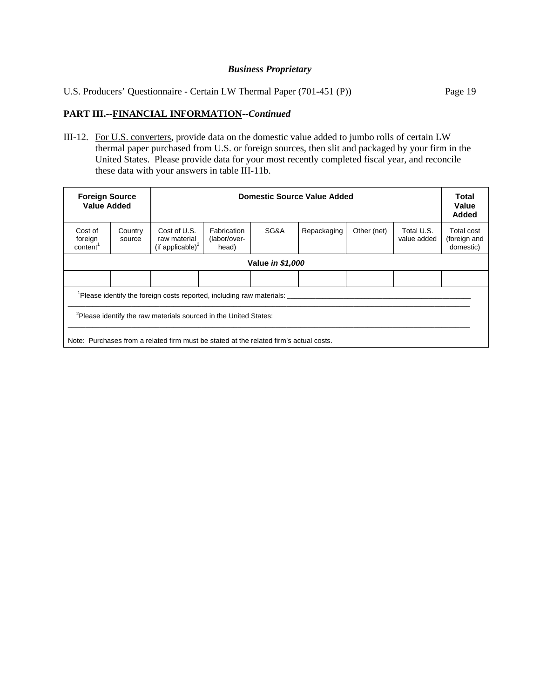U.S. Producers' Questionnaire - Certain LW Thermal Paper (701-451 (P)) Page 19

# **PART III.--FINANCIAL INFORMATION--***Continued*

III-12. For U.S. converters, provide data on the domestic value added to jumbo rolls of certain LW thermal paper purchased from U.S. or foreign sources, then slit and packaged by your firm in the United States. Please provide data for your most recently completed fiscal year, and reconcile these data with your answers in table III-11b.

| <b>Foreign Source</b><br><b>Value Added</b> |                                                                                        |                                                              | <b>Domestic Source Value Added</b>   |      |             |             |                           | Total<br>Value<br><b>Added</b>          |
|---------------------------------------------|----------------------------------------------------------------------------------------|--------------------------------------------------------------|--------------------------------------|------|-------------|-------------|---------------------------|-----------------------------------------|
| Cost of<br>foreign<br>content <sup>1</sup>  | Country<br>source                                                                      | Cost of U.S.<br>raw material<br>(if applicable) <sup>2</sup> | Fabrication<br>(labor/over-<br>head) | SG&A | Repackaging | Other (net) | Total U.S.<br>value added | Total cost<br>(foreign and<br>domestic) |
|                                             | Value in \$1,000                                                                       |                                                              |                                      |      |             |             |                           |                                         |
|                                             |                                                                                        |                                                              |                                      |      |             |             |                           |                                         |
|                                             | Please identify the foreign costs reported, including raw materials:                   |                                                              |                                      |      |             |             |                           |                                         |
|                                             | Please identify the raw materials sourced in the United States:                        |                                                              |                                      |      |             |             |                           |                                         |
|                                             | Note: Purchases from a related firm must be stated at the related firm's actual costs. |                                                              |                                      |      |             |             |                           |                                         |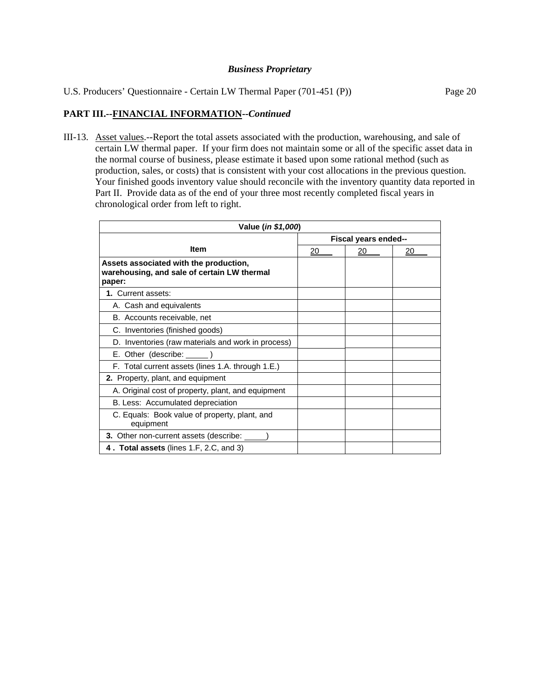U.S. Producers' Questionnaire - Certain LW Thermal Paper (701-451 (P)) Page 20

# **PART III.--FINANCIAL INFORMATION--***Continued*

III-13. Asset values.--Report the total assets associated with the production, warehousing, and sale of certain LW thermal paper. If your firm does not maintain some or all of the specific asset data in the normal course of business, please estimate it based upon some rational method (such as production, sales, or costs) that is consistent with your cost allocations in the previous question. Your finished goods inventory value should reconcile with the inventory quantity data reported in Part II. Provide data as of the end of your three most recently completed fiscal years in chronological order from left to right.

| Value (in \$1,000)                                                                              |    |                      |    |  |
|-------------------------------------------------------------------------------------------------|----|----------------------|----|--|
|                                                                                                 |    | Fiscal years ended-- |    |  |
| <b>Item</b>                                                                                     | 20 | 20                   | 20 |  |
| Assets associated with the production,<br>warehousing, and sale of certain LW thermal<br>paper: |    |                      |    |  |
| 1. Current assets:                                                                              |    |                      |    |  |
| A. Cash and equivalents                                                                         |    |                      |    |  |
| B. Accounts receivable, net                                                                     |    |                      |    |  |
| C. Inventories (finished goods)                                                                 |    |                      |    |  |
| D. Inventories (raw materials and work in process)                                              |    |                      |    |  |
| E. Other (describe: ______)                                                                     |    |                      |    |  |
| F. Total current assets (lines 1.A. through 1.E.)                                               |    |                      |    |  |
| 2. Property, plant, and equipment                                                               |    |                      |    |  |
| A. Original cost of property, plant, and equipment                                              |    |                      |    |  |
| B. Less: Accumulated depreciation                                                               |    |                      |    |  |
| C. Equals: Book value of property, plant, and<br>equipment                                      |    |                      |    |  |
| <b>3.</b> Other non-current assets (describe:                                                   |    |                      |    |  |
| 4. Total assets (lines 1.F, 2.C, and 3)                                                         |    |                      |    |  |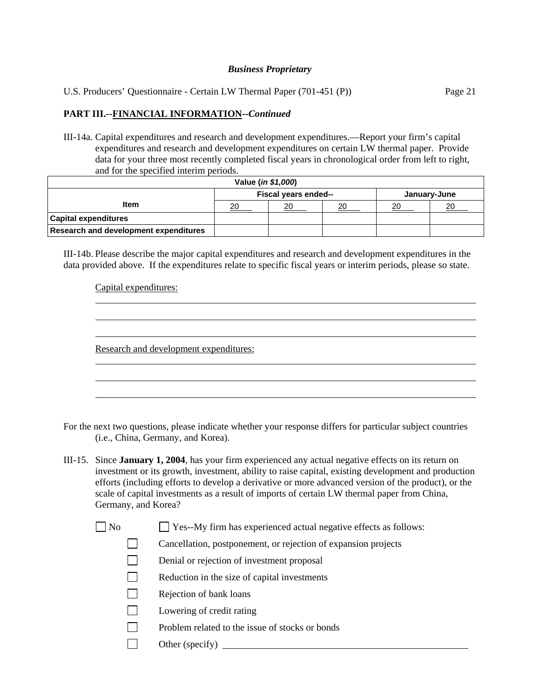U.S. Producers' Questionnaire - Certain LW Thermal Paper (701-451 (P)) Page 21

# **PART III.--FINANCIAL INFORMATION--***Continued*

III-14a. Capital expenditures and research and development expenditures.—Report your firm's capital expenditures and research and development expenditures on certain LW thermal paper. Provide data for your three most recently completed fiscal years in chronological order from left to right, and for the specified interim periods.

| Value ( <i>in \$1,000</i> )                  |                                      |    |    |    |    |  |
|----------------------------------------------|--------------------------------------|----|----|----|----|--|
|                                              | Fiscal years ended--<br>January-June |    |    |    |    |  |
| <b>Item</b>                                  | 20                                   | 20 | 20 | 20 | 20 |  |
| <b>Capital expenditures</b>                  |                                      |    |    |    |    |  |
| <b>Research and development expenditures</b> |                                      |    |    |    |    |  |

III-14b. Please describe the major capital expenditures and research and development expenditures in the data provided above. If the expenditures relate to specific fiscal years or interim periods, please so state.

Capital expenditures:

 $\overline{a}$ 

l

Research and development expenditures:

For the next two questions, please indicate whether your response differs for particular subject countries (i.e., China, Germany, and Korea).

- III-15. Since **January 1, 2004**, has your firm experienced any actual negative effects on its return on investment or its growth, investment, ability to raise capital, existing development and production efforts (including efforts to develop a derivative or more advanced version of the product), or the scale of capital investments as a result of imports of certain LW thermal paper from China, Germany, and Korea?
	- $\Box$  No  $\Box$  Yes--My firm has experienced actual negative effects as follows:
		- Cancellation, postponement, or rejection of expansion projects
		- Denial or rejection of investment proposal
		- Reduction in the size of capital investments
		- Rejection of bank loans
		- **Lowering of credit rating**
		- $\Box$  Problem related to the issue of stocks or bonds
		- Other (specify)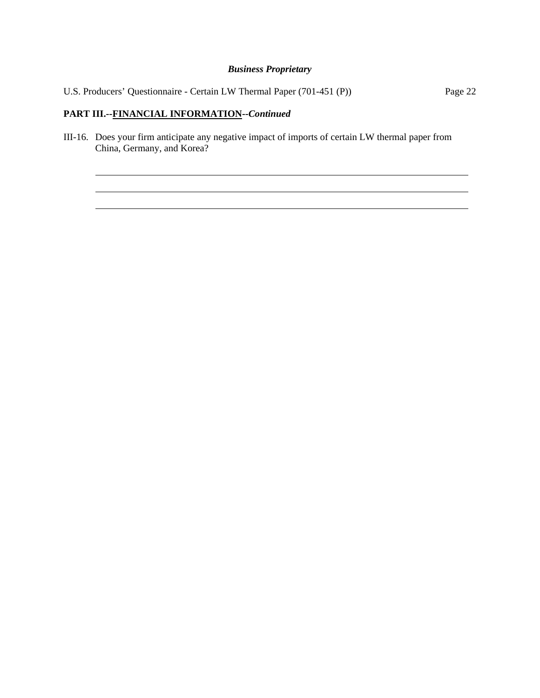|  | U.S. Producers' Questionnaire - Certain LW Thermal Paper (701-451 (P)) |         |  |
|--|------------------------------------------------------------------------|---------|--|
|  |                                                                        | Page 22 |  |

# **PART III.--FINANCIAL INFORMATION--***Continued*

l  $\overline{a}$  $\overline{a}$ 

III-16. Does your firm anticipate any negative impact of imports of certain LW thermal paper from China, Germany, and Korea?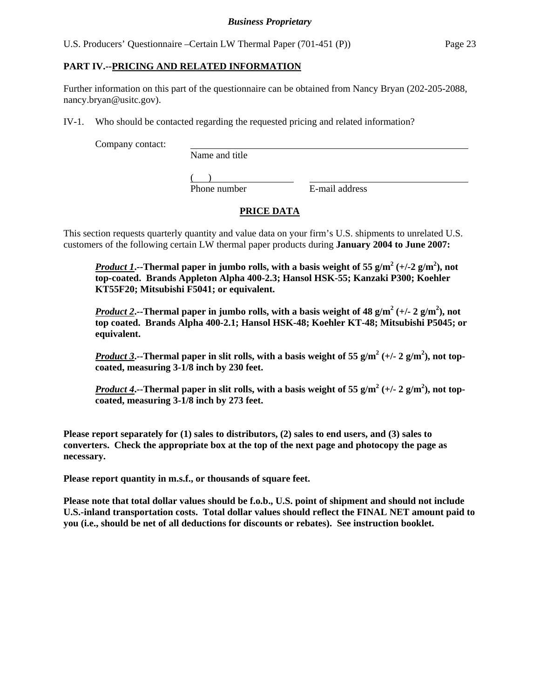U.S. Producers' Questionnaire –Certain LW Thermal Paper (701-451 (P)) Page 23

# **PART IV.--PRICING AND RELATED INFORMATION**

Further information on this part of the questionnaire can be obtained from Nancy Bryan (202-205-2088, nancy.bryan@usitc.gov).

IV-1. Who should be contacted regarding the requested pricing and related information?

Company contact:

Name and title

 $($ 

Phone number E-mail address

# **PRICE DATA**

This section requests quarterly quantity and value data on your firm's U.S. shipments to unrelated U.S. customers of the following certain LW thermal paper products during **January 2004 to June 2007:**

*Product 1*. --Thermal paper in jumbo rolls, with a basis weight of 55 g/m<sup>2</sup> (+/-2 g/m<sup>2</sup>), not **top-coated. Brands Appleton Alpha 400-2.3; Hansol HSK-55; Kanzaki P300; Koehler KT55F20; Mitsubishi F5041; or equivalent.** 

*Product* 2.--Thermal paper in jumbo rolls, with a basis weight of 48 g/m<sup>2</sup> (+/- 2 g/m<sup>2</sup>), not **top coated. Brands Alpha 400-2.1; Hansol HSK-48; Koehler KT-48; Mitsubishi P5045; or equivalent.**

*Product* 3.--Thermal paper in slit rolls, with a basis weight of 55 g/m<sup>2</sup> (+/- 2 g/m<sup>2</sup>), not top**coated, measuring 3-1/8 inch by 230 feet.** 

*<u>Product 4</u>.*--Thermal paper in slit rolls, with a basis weight of 55 g/m<sup>2</sup> (+/- 2 g/m<sup>2</sup>), not top**coated, measuring 3-1/8 inch by 273 feet.**

**Please report separately for (1) sales to distributors, (2) sales to end users, and (3) sales to converters. Check the appropriate box at the top of the next page and photocopy the page as necessary.** 

**Please report quantity in m.s.f., or thousands of square feet.** 

**Please note that total dollar values should be f.o.b., U.S. point of shipment and should not include U.S.-inland transportation costs. Total dollar values should reflect the FINAL NET amount paid to you (i.e., should be net of all deductions for discounts or rebates). See instruction booklet.**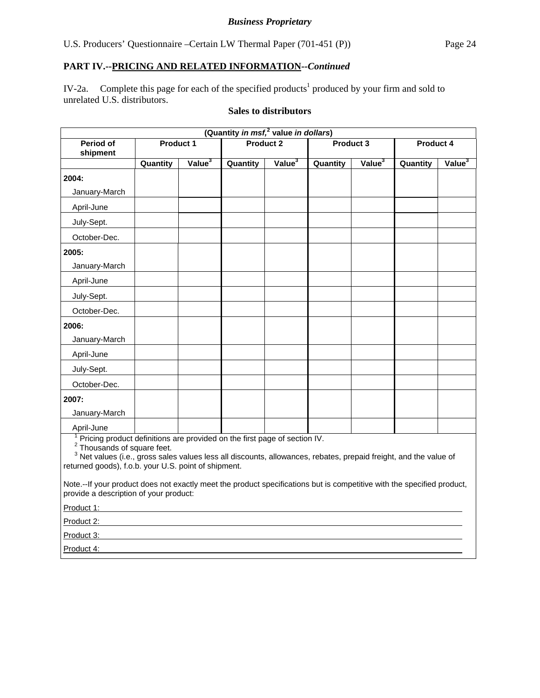IV-2a. Complete this page for each of the specified products<sup>1</sup> produced by your firm and sold to unrelated U.S. distributors.

# **Sales to distributors**

| (Quantity in msf, <sup>2</sup> value in dollars)                                       |          |                    |          |                    |          |                    |          |                    |
|----------------------------------------------------------------------------------------|----------|--------------------|----------|--------------------|----------|--------------------|----------|--------------------|
| Period of                                                                              |          | <b>Product 1</b>   |          | <b>Product 2</b>   |          | Product 3          |          | <b>Product 4</b>   |
| shipment                                                                               |          |                    |          |                    |          |                    |          |                    |
|                                                                                        | Quantity | Value <sup>3</sup> | Quantity | Value <sup>3</sup> | Quantity | Value <sup>3</sup> | Quantity | Value <sup>3</sup> |
| 2004:                                                                                  |          |                    |          |                    |          |                    |          |                    |
| January-March                                                                          |          |                    |          |                    |          |                    |          |                    |
| April-June                                                                             |          |                    |          |                    |          |                    |          |                    |
| July-Sept.                                                                             |          |                    |          |                    |          |                    |          |                    |
| October-Dec.                                                                           |          |                    |          |                    |          |                    |          |                    |
| 2005:                                                                                  |          |                    |          |                    |          |                    |          |                    |
| January-March                                                                          |          |                    |          |                    |          |                    |          |                    |
| April-June                                                                             |          |                    |          |                    |          |                    |          |                    |
| July-Sept.                                                                             |          |                    |          |                    |          |                    |          |                    |
| October-Dec.                                                                           |          |                    |          |                    |          |                    |          |                    |
| 2006:                                                                                  |          |                    |          |                    |          |                    |          |                    |
| January-March                                                                          |          |                    |          |                    |          |                    |          |                    |
| April-June                                                                             |          |                    |          |                    |          |                    |          |                    |
| July-Sept.                                                                             |          |                    |          |                    |          |                    |          |                    |
| October-Dec.                                                                           |          |                    |          |                    |          |                    |          |                    |
| 2007:                                                                                  |          |                    |          |                    |          |                    |          |                    |
| January-March                                                                          |          |                    |          |                    |          |                    |          |                    |
| April-June                                                                             |          |                    |          |                    |          |                    |          |                    |
| <sup>1</sup> Pricing product definitions are provided on the first page of section IV. |          |                    |          |                    |          |                    |          |                    |

<sup>2</sup> Thousands of square feet.

<sup>3</sup> Net values (i.e., gross sales values less all discounts, allowances, rebates, prepaid freight, and the value of returned goods), f.o.b. your U.S. point of shipment.

Note.--If your product does not exactly meet the product specifications but is competitive with the specified product, provide a description of your product:

Product 1:

Product 2:

Product 3:

Product 4: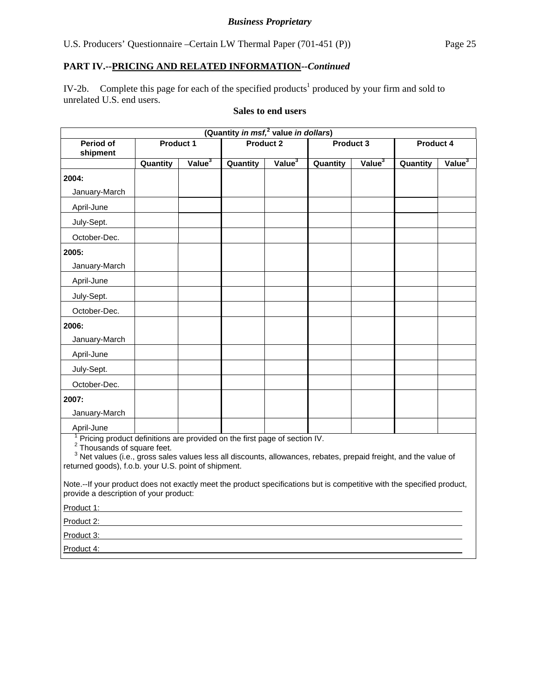IV-2b. Complete this page for each of the specified products<sup>1</sup> produced by your firm and sold to unrelated U.S. end users.

# **Sales to end users**

| (Quantity in msf, <sup>2</sup> value in dollars)                          |                  |                             |          |                    |          |                          |          |                    |  |
|---------------------------------------------------------------------------|------------------|-----------------------------|----------|--------------------|----------|--------------------------|----------|--------------------|--|
| Period of                                                                 | <b>Product 1</b> |                             |          | <b>Product 2</b>   |          | Product 3                |          | <b>Product 4</b>   |  |
| shipment                                                                  |                  |                             |          |                    |          |                          |          |                    |  |
|                                                                           | Quantity         | $\sqrt{$ alue $\frac{3}{2}$ | Quantity | Value <sup>3</sup> | Quantity | $\sqrt{$ alue $\sqrt{3}$ | Quantity | Value <sup>3</sup> |  |
| 2004:                                                                     |                  |                             |          |                    |          |                          |          |                    |  |
| January-March                                                             |                  |                             |          |                    |          |                          |          |                    |  |
| April-June                                                                |                  |                             |          |                    |          |                          |          |                    |  |
| July-Sept.                                                                |                  |                             |          |                    |          |                          |          |                    |  |
| October-Dec.                                                              |                  |                             |          |                    |          |                          |          |                    |  |
| 2005:                                                                     |                  |                             |          |                    |          |                          |          |                    |  |
| January-March                                                             |                  |                             |          |                    |          |                          |          |                    |  |
| April-June                                                                |                  |                             |          |                    |          |                          |          |                    |  |
| July-Sept.                                                                |                  |                             |          |                    |          |                          |          |                    |  |
| October-Dec.                                                              |                  |                             |          |                    |          |                          |          |                    |  |
| 2006:                                                                     |                  |                             |          |                    |          |                          |          |                    |  |
| January-March                                                             |                  |                             |          |                    |          |                          |          |                    |  |
| April-June                                                                |                  |                             |          |                    |          |                          |          |                    |  |
| July-Sept.                                                                |                  |                             |          |                    |          |                          |          |                    |  |
| October-Dec.                                                              |                  |                             |          |                    |          |                          |          |                    |  |
| 2007:                                                                     |                  |                             |          |                    |          |                          |          |                    |  |
| January-March                                                             |                  |                             |          |                    |          |                          |          |                    |  |
| April-June                                                                |                  |                             |          |                    |          |                          |          |                    |  |
| Pricing product definitions are provided on the first page of section IV. |                  |                             |          |                    |          |                          |          |                    |  |

<sup>2</sup> Thousands of square feet.

<sup>3</sup> Net values (i.e., gross sales values less all discounts, allowances, rebates, prepaid freight, and the value of returned goods), f.o.b. your U.S. point of shipment.

Note.--If your product does not exactly meet the product specifications but is competitive with the specified product, provide a description of your product:

Product 1:

Product 2:

Product 3:

Product 4: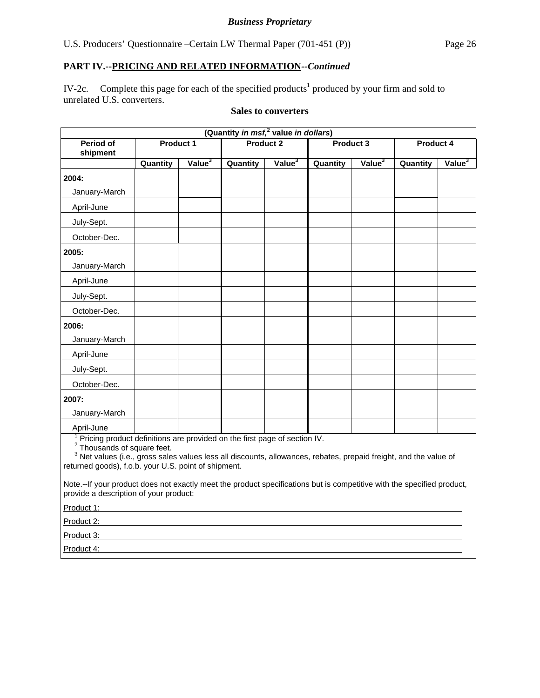IV-2c. Complete this page for each of the specified products<sup>1</sup> produced by your firm and sold to unrelated U.S. converters.

# **Sales to converters**

|                                                                           |          |                    | (Quantity in msf, <sup>2</sup> value in dollars) |                    |          |                    |          |                    |  |
|---------------------------------------------------------------------------|----------|--------------------|--------------------------------------------------|--------------------|----------|--------------------|----------|--------------------|--|
| Period of                                                                 |          | <b>Product 1</b>   |                                                  | <b>Product 2</b>   |          | Product 3          |          | <b>Product 4</b>   |  |
| shipment                                                                  |          |                    |                                                  |                    |          |                    |          |                    |  |
|                                                                           | Quantity | Value <sup>3</sup> | Quantity                                         | Value <sup>3</sup> | Quantity | Value <sup>3</sup> | Quantity | Value <sup>3</sup> |  |
| 2004:                                                                     |          |                    |                                                  |                    |          |                    |          |                    |  |
| January-March                                                             |          |                    |                                                  |                    |          |                    |          |                    |  |
| April-June                                                                |          |                    |                                                  |                    |          |                    |          |                    |  |
| July-Sept.                                                                |          |                    |                                                  |                    |          |                    |          |                    |  |
| October-Dec.                                                              |          |                    |                                                  |                    |          |                    |          |                    |  |
| 2005:                                                                     |          |                    |                                                  |                    |          |                    |          |                    |  |
| January-March                                                             |          |                    |                                                  |                    |          |                    |          |                    |  |
| April-June                                                                |          |                    |                                                  |                    |          |                    |          |                    |  |
| July-Sept.                                                                |          |                    |                                                  |                    |          |                    |          |                    |  |
| October-Dec.                                                              |          |                    |                                                  |                    |          |                    |          |                    |  |
| 2006:                                                                     |          |                    |                                                  |                    |          |                    |          |                    |  |
| January-March                                                             |          |                    |                                                  |                    |          |                    |          |                    |  |
| April-June                                                                |          |                    |                                                  |                    |          |                    |          |                    |  |
| July-Sept.                                                                |          |                    |                                                  |                    |          |                    |          |                    |  |
| October-Dec.                                                              |          |                    |                                                  |                    |          |                    |          |                    |  |
| 2007:                                                                     |          |                    |                                                  |                    |          |                    |          |                    |  |
| January-March                                                             |          |                    |                                                  |                    |          |                    |          |                    |  |
| April-June                                                                |          |                    |                                                  |                    |          |                    |          |                    |  |
| Pricing product definitions are provided on the first page of section IV. |          |                    |                                                  |                    |          |                    |          |                    |  |

<sup>2</sup> Thousands of square feet.

<sup>3</sup> Net values (i.e., gross sales values less all discounts, allowances, rebates, prepaid freight, and the value of returned goods), f.o.b. your U.S. point of shipment.

Note.--If your product does not exactly meet the product specifications but is competitive with the specified product, provide a description of your product:

Product 1:

Product 2:

Product 3:

Product 4: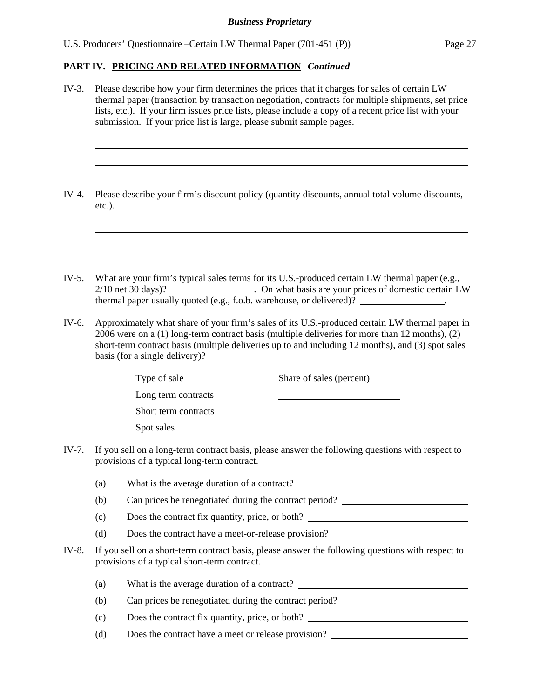l  $\overline{a}$  $\overline{a}$ 

 $\overline{a}$  $\overline{a}$  $\overline{a}$ 

- IV-3. Please describe how your firm determines the prices that it charges for sales of certain LW thermal paper (transaction by transaction negotiation, contracts for multiple shipments, set price lists, etc.). If your firm issues price lists, please include a copy of a recent price list with your submission. If your price list is large, please submit sample pages.
- IV-4. Please describe your firm's discount policy (quantity discounts, annual total volume discounts, etc.).
- IV-5. What are your firm's typical sales terms for its U.S.-produced certain LW thermal paper (e.g., 2/10 net 30 days)? . On what basis are your prices of domestic certain LW thermal paper usually quoted (e.g., f.o.b. warehouse, or delivered)?  $\qquad \qquad$ .
- IV-6. Approximately what share of your firm's sales of its U.S.-produced certain LW thermal paper in 2006 were on a (1) long-term contract basis (multiple deliveries for more than 12 months), (2) short-term contract basis (multiple deliveries up to and including 12 months), and (3) spot sales basis (for a single delivery)?

| Type of sale         | Share of sales (percent) |
|----------------------|--------------------------|
| Long term contracts  |                          |
| Short term contracts |                          |
| Spot sales           |                          |

- IV-7. If you sell on a long-term contract basis, please answer the following questions with respect to provisions of a typical long-term contract.
	- (a) What is the average duration of a contract?
	- (b) Can prices be renegotiated during the contract period?
	- (c) Does the contract fix quantity, price, or both?
	- (d) Does the contract have a meet-or-release provision?
- IV-8. If you sell on a short-term contract basis, please answer the following questions with respect to provisions of a typical short-term contract.
	- (a) What is the average duration of a contract?
	- (b) Can prices be renegotiated during the contract period?
	- (c) Does the contract fix quantity, price, or both?
	- (d) Does the contract have a meet or release provision?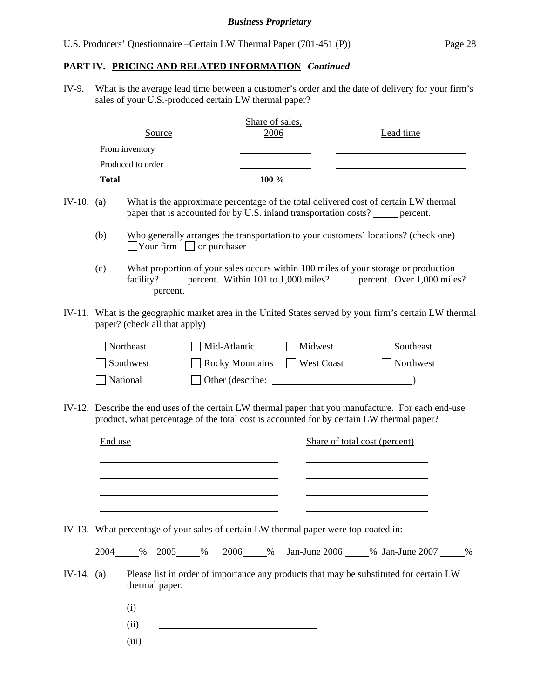IV-9. What is the average lead time between a customer's order and the date of delivery for your firm's sales of your U.S.-produced certain LW thermal paper?

|            |              | Source                        |                                                                                      | Share of sales,<br>2006 |            | Lead time                                                                                                                                                                                                                 |
|------------|--------------|-------------------------------|--------------------------------------------------------------------------------------|-------------------------|------------|---------------------------------------------------------------------------------------------------------------------------------------------------------------------------------------------------------------------------|
|            |              | From inventory                |                                                                                      |                         |            |                                                                                                                                                                                                                           |
|            |              | Produced to order             |                                                                                      |                         |            |                                                                                                                                                                                                                           |
|            | <b>Total</b> |                               |                                                                                      | 100 %                   |            |                                                                                                                                                                                                                           |
| IV-10. (a) |              |                               |                                                                                      |                         |            | What is the approximate percentage of the total delivered cost of certain LW thermal<br>paper that is accounted for by U.S. inland transportation costs? ______ percent.                                                  |
|            | (b)          |                               | $\Box$ Your firm $\Box$ or purchaser                                                 |                         |            | Who generally arranges the transportation to your customers' locations? (check one)                                                                                                                                       |
|            | (c)          | percent.                      |                                                                                      |                         |            | What proportion of your sales occurs within 100 miles of your storage or production<br>facility? ______ percent. Within 101 to 1,000 miles? ______ percent. Over 1,000 miles?                                             |
| IV-11.     |              | paper? (check all that apply) |                                                                                      |                         |            | What is the geographic market area in the United States served by your firm's certain LW thermal                                                                                                                          |
|            |              | Northeast                     | Mid-Atlantic                                                                         |                         | Midwest    | Southeast                                                                                                                                                                                                                 |
|            |              | Southwest                     | <b>Rocky Mountains</b>                                                               |                         | West Coast | $\Box$ Northwest                                                                                                                                                                                                          |
|            |              | National                      |                                                                                      |                         |            |                                                                                                                                                                                                                           |
|            |              |                               |                                                                                      |                         |            |                                                                                                                                                                                                                           |
| IV-12.     | End use      |                               |                                                                                      |                         |            | Describe the end uses of the certain LW thermal paper that you manufacture. For each end-use<br>product, what percentage of the total cost is accounted for by certain LW thermal paper?<br>Share of total cost (percent) |
|            |              |                               | IV-13. What percentage of your sales of certain LW thermal paper were top-coated in: |                         |            |                                                                                                                                                                                                                           |
|            |              | 2004 % 2005 %                 |                                                                                      |                         |            | 2006_____% Jan-June 2006_____% Jan-June 2007_____%                                                                                                                                                                        |
| IV-14. (a) |              | thermal paper.                |                                                                                      |                         |            | Please list in order of importance any products that may be substituted for certain LW                                                                                                                                    |
|            |              | (i)                           |                                                                                      |                         |            |                                                                                                                                                                                                                           |
|            |              | (ii)                          |                                                                                      |                         |            |                                                                                                                                                                                                                           |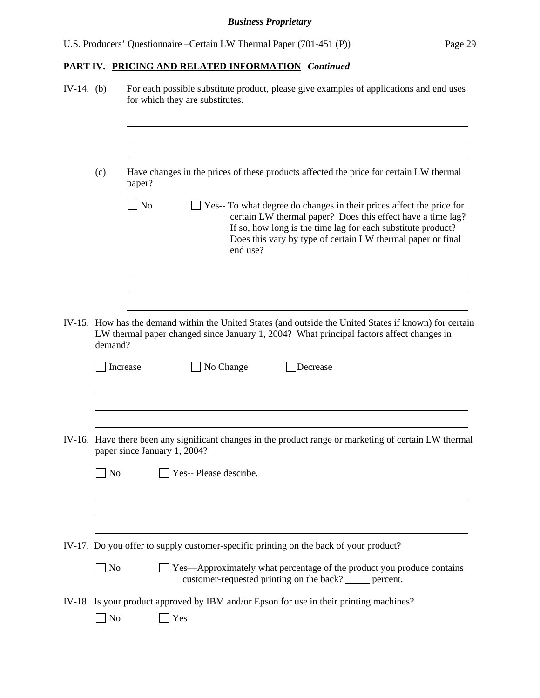| $IV-14.$ (b) |                         | For each possible substitute product, please give examples of applications and end uses<br>for which they are substitutes.                                                                                                                                                                  |  |  |  |  |  |  |  |
|--------------|-------------------------|---------------------------------------------------------------------------------------------------------------------------------------------------------------------------------------------------------------------------------------------------------------------------------------------|--|--|--|--|--|--|--|
|              | (c)                     | Have changes in the prices of these products affected the price for certain LW thermal<br>paper?                                                                                                                                                                                            |  |  |  |  |  |  |  |
|              |                         | $\Box$ No<br>Yes-- To what degree do changes in their prices affect the price for<br>certain LW thermal paper? Does this effect have a time lag?<br>If so, how long is the time lag for each substitute product?<br>Does this vary by type of certain LW thermal paper or final<br>end use? |  |  |  |  |  |  |  |
|              | demand?                 | IV-15. How has the demand within the United States (and outside the United States if known) for certain<br>LW thermal paper changed since January 1, 2004? What principal factors affect changes in                                                                                         |  |  |  |  |  |  |  |
|              |                         | No Change<br>Increase<br>Decrease                                                                                                                                                                                                                                                           |  |  |  |  |  |  |  |
|              |                         | IV-16. Have there been any significant changes in the product range or marketing of certain LW thermal<br>paper since January 1, 2004?                                                                                                                                                      |  |  |  |  |  |  |  |
|              | No                      | Yes-- Please describe.                                                                                                                                                                                                                                                                      |  |  |  |  |  |  |  |
|              |                         | IV-17. Do you offer to supply customer-specific printing on the back of your product?                                                                                                                                                                                                       |  |  |  |  |  |  |  |
|              | $\Box$ No               | Yes—Approximately what percentage of the product you produce contains<br>customer-requested printing on the back? _____ percent.                                                                                                                                                            |  |  |  |  |  |  |  |
|              | $\sqrt{\phantom{a}}$ No | IV-18. Is your product approved by IBM and/or Epson for use in their printing machines?<br>Yes                                                                                                                                                                                              |  |  |  |  |  |  |  |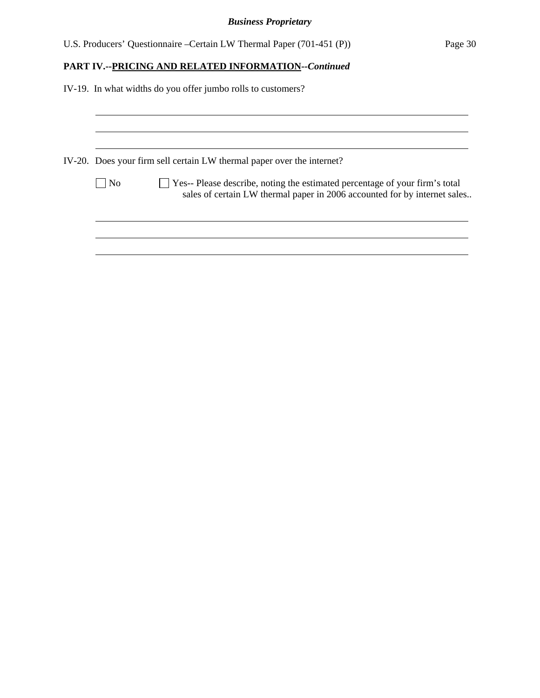|  |  | U.S. Producers' Questionnaire – Certain LW Thermal Paper (701-451 (P)) |  |  | Page 30 |
|--|--|------------------------------------------------------------------------|--|--|---------|
|--|--|------------------------------------------------------------------------|--|--|---------|

# **PART IV.--PRICING AND RELATED INFORMATION***--Continued*

| IV-19. In what widths do you offer jumbo rolls to customers?                                                                                                              |
|---------------------------------------------------------------------------------------------------------------------------------------------------------------------------|
|                                                                                                                                                                           |
| IV-20. Does your firm sell certain LW thermal paper over the internet?                                                                                                    |
| $\Box$ Yes-- Please describe, noting the estimated percentage of your firm's total<br>$ $ No<br>sales of certain LW thermal paper in 2006 accounted for by internet sales |
|                                                                                                                                                                           |
|                                                                                                                                                                           |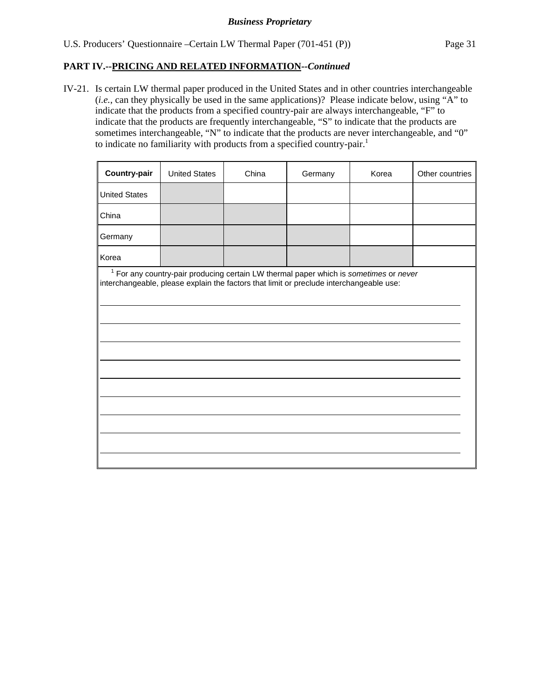IV-21. Is certain LW thermal paper produced in the United States and in other countries interchangeable (*i.e.*, can they physically be used in the same applications)? Please indicate below, using "A" to indicate that the products from a specified country-pair are always interchangeable, "F" to indicate that the products are frequently interchangeable, "S" to indicate that the products are sometimes interchangeable, "N" to indicate that the products are never interchangeable, and "0" to indicate no familiarity with products from a specified country-pair.<sup>1</sup>

| <b>Country-pair</b>  | <b>United States</b> | China | Germany                                                                                                                                                                                     | Korea | Other countries |
|----------------------|----------------------|-------|---------------------------------------------------------------------------------------------------------------------------------------------------------------------------------------------|-------|-----------------|
| <b>United States</b> |                      |       |                                                                                                                                                                                             |       |                 |
| China                |                      |       |                                                                                                                                                                                             |       |                 |
| Germany              |                      |       |                                                                                                                                                                                             |       |                 |
| Korea                |                      |       |                                                                                                                                                                                             |       |                 |
|                      |                      |       | <sup>1</sup> For any country-pair producing certain LW thermal paper which is sometimes or never<br>interchangeable, please explain the factors that limit or preclude interchangeable use: |       |                 |
|                      |                      |       |                                                                                                                                                                                             |       |                 |
|                      |                      |       |                                                                                                                                                                                             |       |                 |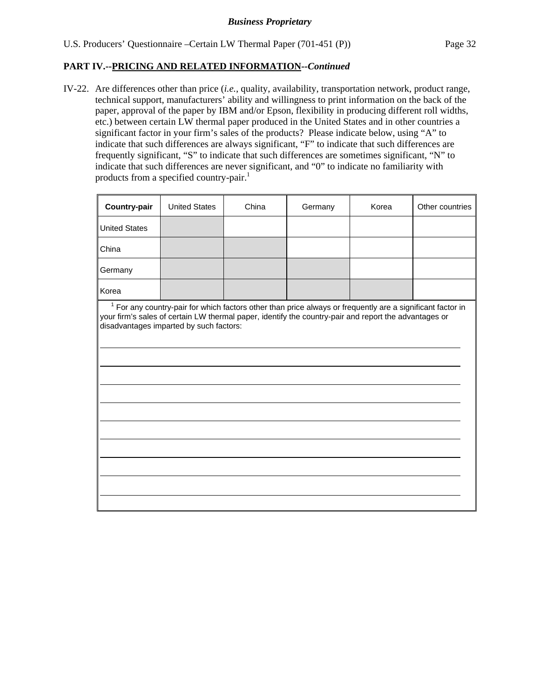IV-22. Are differences other than price (*i.e.*, quality, availability, transportation network, product range, technical support, manufacturers' ability and willingness to print information on the back of the paper, approval of the paper by IBM and/or Epson, flexibility in producing different roll widths, etc.) between certain LW thermal paper produced in the United States and in other countries a significant factor in your firm's sales of the products? Please indicate below, using "A" to indicate that such differences are always significant, "F" to indicate that such differences are frequently significant, "S" to indicate that such differences are sometimes significant, "N" to indicate that such differences are never significant, and "0" to indicate no familiarity with products from a specified country-pair.<sup>1</sup>

| <b>Country-pair</b>                                                                                                                                                                                                                                              | <b>United States</b> | China | Germany | Korea | Other countries |  |  |
|------------------------------------------------------------------------------------------------------------------------------------------------------------------------------------------------------------------------------------------------------------------|----------------------|-------|---------|-------|-----------------|--|--|
| <b>United States</b>                                                                                                                                                                                                                                             |                      |       |         |       |                 |  |  |
| China                                                                                                                                                                                                                                                            |                      |       |         |       |                 |  |  |
| Germany                                                                                                                                                                                                                                                          |                      |       |         |       |                 |  |  |
| Korea                                                                                                                                                                                                                                                            |                      |       |         |       |                 |  |  |
| $1$ For any country-pair for which factors other than price always or frequently are a significant factor in<br>your firm's sales of certain LW thermal paper, identify the country-pair and report the advantages or<br>disadvantages imparted by such factors: |                      |       |         |       |                 |  |  |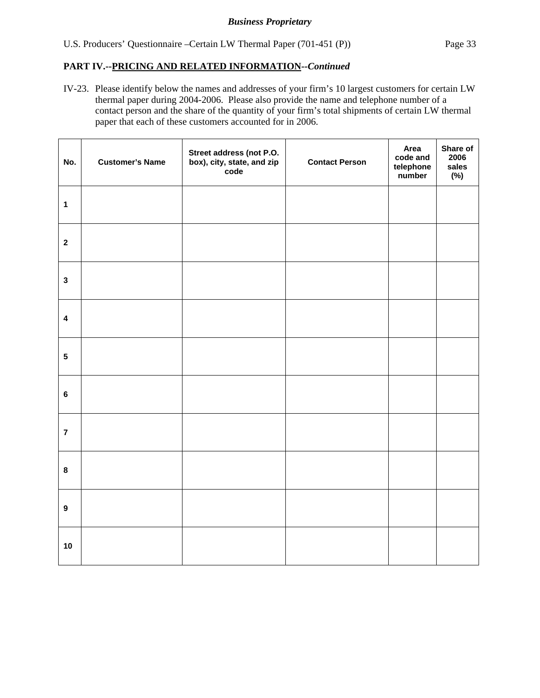IV-23. Please identify below the names and addresses of your firm's 10 largest customers for certain LW thermal paper during 2004-2006. Please also provide the name and telephone number of a contact person and the share of the quantity of your firm's total shipments of certain LW thermal paper that each of these customers accounted for in 2006.

| No.              | <b>Customer's Name</b> | Street address (not P.O.<br>box), city, state, and zip<br>code | <b>Contact Person</b> | Area<br>code and<br>telephone<br>number | Share of<br>2006<br>sales<br>$(\%)$ |
|------------------|------------------------|----------------------------------------------------------------|-----------------------|-----------------------------------------|-------------------------------------|
| $\mathbf{1}$     |                        |                                                                |                       |                                         |                                     |
| $\boldsymbol{2}$ |                        |                                                                |                       |                                         |                                     |
| $\mathbf{3}$     |                        |                                                                |                       |                                         |                                     |
| $\pmb{4}$        |                        |                                                                |                       |                                         |                                     |
| ${\bf 5}$        |                        |                                                                |                       |                                         |                                     |
| $\bf 6$          |                        |                                                                |                       |                                         |                                     |
| $\overline{7}$   |                        |                                                                |                       |                                         |                                     |
| $\pmb{8}$        |                        |                                                                |                       |                                         |                                     |
| $\boldsymbol{9}$ |                        |                                                                |                       |                                         |                                     |
| 10               |                        |                                                                |                       |                                         |                                     |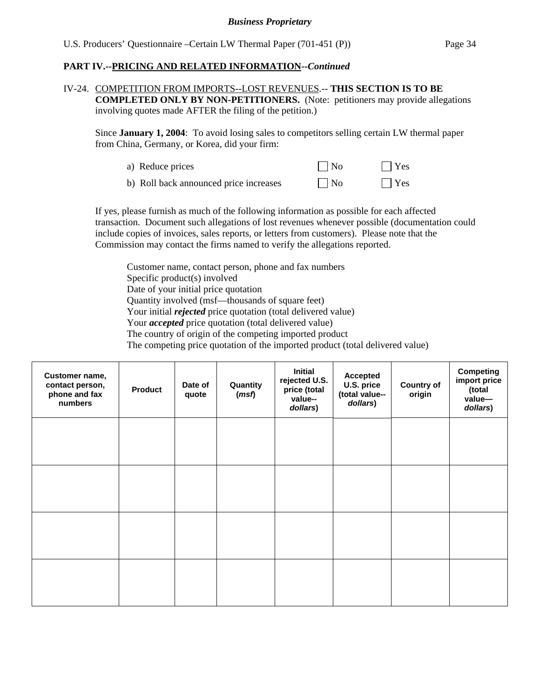#### IV-24. COMPETITION FROM IMPORTS--LOST REVENUES.-- **THIS SECTION IS TO BE COMPLETED ONLY BY NON-PETITIONERS.** (Note: petitioners may provide allegations involving quotes made AFTER the filing of the petition.)

Since **January 1, 2004**: To avoid losing sales to competitors selling certain LW thermal paper from China, Germany, or Korea, did your firm:

| a) Reduce prices                       | $\Box$ No | $\Box$ Yes |
|----------------------------------------|-----------|------------|
| b) Roll back announced price increases | $\Box$ No | $\Box$ Yes |

If yes, please furnish as much of the following information as possible for each affected transaction. Document such allegations of lost revenues whenever possible (documentation could include copies of invoices, sales reports, or letters from customers). Please note that the Commission may contact the firms named to verify the allegations reported.

Customer name, contact person, phone and fax numbers Specific product(s) involved Date of your initial price quotation Quantity involved (msf—thousands of square feet) Your initial *rejected* price quotation (total delivered value) Your *accepted* price quotation (total delivered value) The country of origin of the competing imported product The competing price quotation of the imported product (total delivered value)

| Customer name,<br>contact person,<br>phone and fax<br>numbers | <b>Product</b> | Date of<br>quote | Quantity<br>(msf) | <b>Initial</b><br>rejected U.S.<br>price (total<br>value--<br>dollars) | <b>Accepted</b><br>U.S. price<br>(total value--<br>dollars) | <b>Country of</b><br>origin | <b>Competing</b><br>import price<br>(total<br>value-<br>dollars) |
|---------------------------------------------------------------|----------------|------------------|-------------------|------------------------------------------------------------------------|-------------------------------------------------------------|-----------------------------|------------------------------------------------------------------|
|                                                               |                |                  |                   |                                                                        |                                                             |                             |                                                                  |
|                                                               |                |                  |                   |                                                                        |                                                             |                             |                                                                  |
|                                                               |                |                  |                   |                                                                        |                                                             |                             |                                                                  |
|                                                               |                |                  |                   |                                                                        |                                                             |                             |                                                                  |